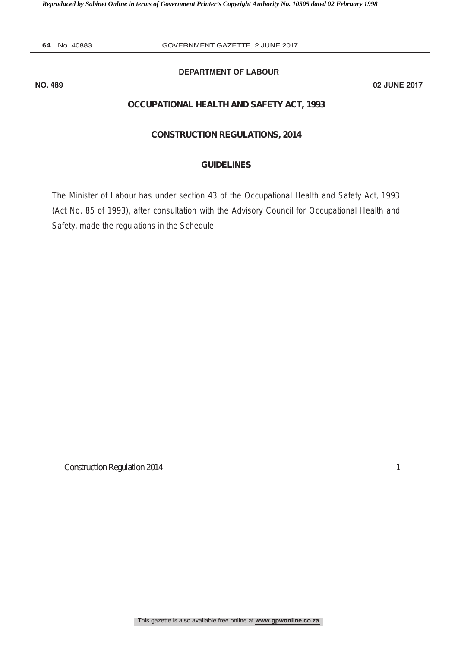Reproduced by Sabinet Online in terms of Government Printer's Copyright Authority No. 10505 dated 02 February 1998

**64** No. 40883 **GOVERNMENT GAZETTE, 2 JUNE 2017** 

# **DEPARTMENT OF LABOUR**

**NO. 489 02 JUNE 2017**

# **OCCUPATIONAL HEALTH AND SAFETY ACT, 1993**

### **CONSTRUCTION REGULATIONS, 2014**

# **GUIDELINES**

The Minister of Labour has under section 43 of the Occupational Health and Safety Act, 1993 (Act No. 85 of 1993), after consultation with the Advisory Council for Occupational Health and Safety, made the regulations in the Schedule.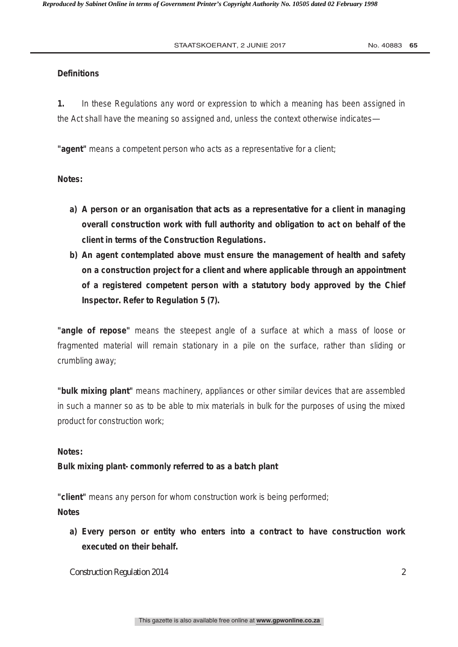# **Definitions**

**1.** In these Regulations any word or expression to which a meaning has been assigned in the Act shall have the meaning so assigned and, unless the context otherwise indicates—

**"agent"** means a competent person who acts as a representative for a client;

**Notes:** 

- **a) A person or an organisation that acts as a representative for a client in managing overall construction work with full authority and obligation to act on behalf of the client in terms of the Construction Regulations.**
- **b) An agent contemplated above must ensure the management of health and safety on a construction project for a client and where applicable through an appointment of a registered competent person with a statutory body approved by the Chief Inspector. Refer to Regulation 5 (7).**

**"angle of repose"** means the steepest angle of a surface at which a mass of loose or fragmented material will remain stationary in a pile on the surface, rather than sliding or crumbling away;

**"bulk mixing plant"** means machinery, appliances or other similar devices that are assembled in such a manner so as to be able to mix materials in bulk for the purposes of using the mixed product for construction work;

# **Notes:**

# **Bulk mixing plant- commonly referred to as a batch plant**

**"client"** means any person for whom construction work is being performed; **Notes** 

**a) Every person or entity who enters into a contract to have construction work executed on their behalf.**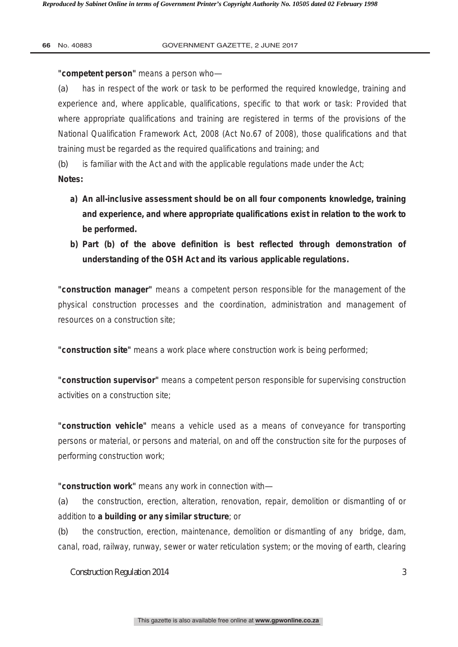**"competent person"** means a person who—

*(a)* has in respect of the work or task to be performed the required knowledge, training and experience and, where applicable, qualifications, specific to that work or task: Provided that where appropriate qualifications and training are registered in terms of the provisions of the National Qualification Framework Act, 2008 (Act No.67 of 2008), those qualifications and that training must be regarded as the required qualifications and training; and

*(b)* is familiar with the Act and with the applicable regulations made under the Act;

**Notes:** 

- **a) An all-inclusive assessment should be on all four components knowledge, training and experience, and where appropriate qualifications exist in relation to the work to be performed.**
- **b) Part (b) of the above definition is best reflected through demonstration of understanding of the OSH Act and its various applicable regulations.**

**"construction manager"** means a competent person responsible for the management of the physical construction processes and the coordination, administration and management of resources on a construction site;

**"construction site"** means a work place where construction work is being performed;

**"construction supervisor"** means a competent person responsible for supervising construction activities on a construction site;

**"construction vehicle"** means a vehicle used as a means of conveyance for transporting persons or material, or persons and material, on and off the construction site for the purposes of performing construction work;

**"construction work"** means any work in connection with—

*(a)* the construction, erection, alteration, renovation, repair, demolition or dismantling of or addition to **a building or any similar structure**; or

*(b)* the construction, erection, maintenance, demolition or dismantling of any bridge, dam, canal, road, railway, runway, sewer or water reticulation system; or the moving of earth, clearing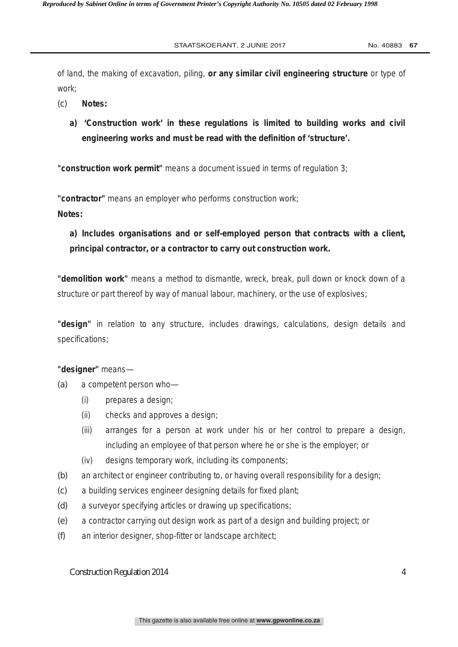of land, the making of excavation, piling, **or any similar civil engineering structure** or type of work;

- *(c)* **Notes:**
	- **a) 'Construction work' in these regulations is limited to building works and civil engineering works and must be read with the definition of 'structure'.**

**"construction work permit"** means a document issued in terms of regulation 3;

**"contractor"** means an employer who performs construction work;

# **Notes:**

**a) Includes organisations and or self-employed person that contracts with a client, principal contractor, or a contractor to carry out construction work.** 

**"demolition work"** means a method to dismantle, wreck, break, pull down or knock down of a structure or part thereof by way of manual labour, machinery, or the use of explosives;

**"design"** in relation to any structure, includes drawings, calculations, design details and specifications;

**"designer"** means—

- *(a)* a competent person who—
	- (i) prepares a design;
	- (ii) checks and approves a design;
	- (iii) arranges for a person at work under his or her control to prepare a design, including an employee of that person where he or she is the employer; or
	- (iv) designs temporary work, including its components;
- *(b)* an architect or engineer contributing to, or having overall responsibility for a design;
- *(c)* a building services engineer designing details for fixed plant;
- *(d)* a surveyor specifying articles or drawing up specifications;
- *(e)* a contractor carrying out design work as part of a design and building project; or
- *(f)* an interior designer, shop-fitter or landscape architect;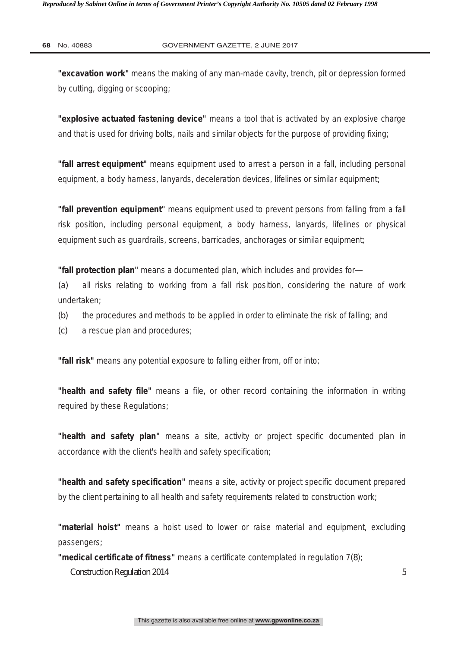**"excavation work"** means the making of any man-made cavity, trench, pit or depression formed by cutting, digging or scooping;

**"explosive actuated fastening device"** means a tool that is activated by an explosive charge and that is used for driving bolts, nails and similar objects for the purpose of providing fixing;

**"fall arrest equipment"** means equipment used to arrest a person in a fall, including personal equipment, a body harness, lanyards, deceleration devices, lifelines or similar equipment;

**"fall prevention equipment"** means equipment used to prevent persons from falling from a fall risk position, including personal equipment, a body harness, lanyards, lifelines or physical equipment such as guardrails, screens, barricades, anchorages or similar equipment;

**"fall protection plan"** means a documented plan, which includes and provides for—

*(a)* all risks relating to working from a fall risk position, considering the nature of work undertaken;

- *(b)* the procedures and methods to be applied in order to eliminate the risk of falling; and
- *(c)* a rescue plan and procedures;

**"fall risk"** means any potential exposure to falling either from, off or into;

**"health and safety file"** means a file, or other record containing the information in writing required by these Regulations;

**"health and safety plan"** means a site, activity or project specific documented plan in accordance with the client's health and safety specification;

**"health and safety specification"** means a site, activity or project specific document prepared by the client pertaining to all health and safety requirements related to construction work;

**"material hoist"** means a hoist used to lower or raise material and equipment, excluding passengers;

**"medical certificate of fitness"** means a certificate contemplated in regulation 7*(8*);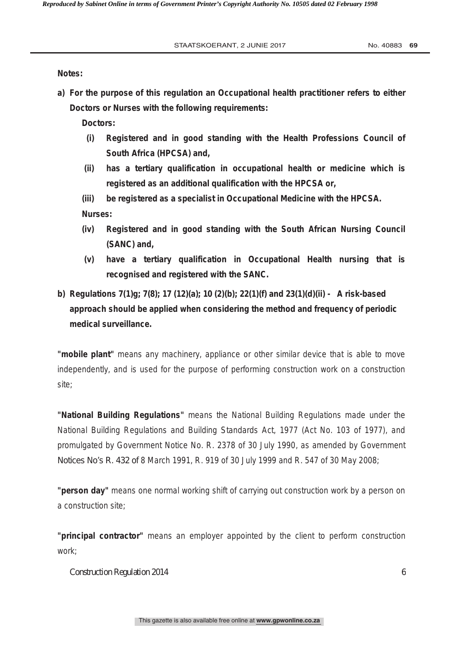**Notes:** 

**a) For the purpose of this regulation an Occupational health practitioner refers to either Doctors or Nurses with the following requirements:** 

**Doctors:** 

- **(i) Registered and in good standing with the Health Professions Council of South Africa (HPCSA) and,**
- **(ii) has a tertiary qualification in occupational health or medicine which is registered as an additional qualification with the HPCSA or,**
- **(iii) be registered as a specialist in Occupational Medicine with the HPCSA. Nurses:**
- **(iv) Registered and in good standing with the South African Nursing Council (SANC) and,**
- **(v) have a tertiary qualification in Occupational Health nursing that is recognised and registered with the SANC.**
- **b) Regulations 7(1)g; 7(8); 17 (12)(a); 10 (2)(b); 22(1)(f) and 23(1)(d)(ii) A risk-based approach should be applied when considering the method and frequency of periodic medical surveillance.**

**"mobile plant"** means any machinery, appliance or other similar device that is able to move independently, and is used for the purpose of performing construction work on a construction site;

**"National Building Regulations"** means the National Building Regulations made under the National Building Regulations and Building Standards Act, 1977 (Act No. 103 of 1977), and promulgated by Government Notice No. R. 2378 of 30 July 1990, as amended by Government Notices No's R. 432 of 8 March 1991, R. 919 of 30 July 1999 and R. 547 of 30 May 2008;

**"person day"** means one normal working shift of carrying out construction work by a person on a construction site;

**"principal contractor"** means an employer appointed by the client to perform construction work;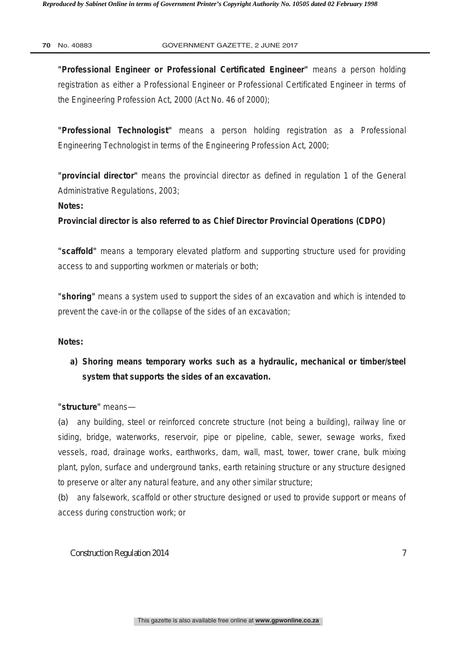**"Professional Engineer or Professional Certificated Engineer"** means a person holding registration as either a Professional Engineer or Professional Certificated Engineer in terms of the Engineering Profession Act, 2000 (Act No. 46 of 2000);

**"Professional Technologist"** means a person holding registration as a Professional Engineering Technologist in terms of the Engineering Profession Act, 2000;

**"provincial director"** means the provincial director as defined in regulation 1 of the General Administrative Regulations, 2003;

**Notes:** 

**Provincial director is also referred to as Chief Director Provincial Operations (CDPO)** 

**"scaffold"** means a temporary elevated platform and supporting structure used for providing access to and supporting workmen or materials or both;

**"shoring"** means a system used to support the sides of an excavation and which is intended to prevent the cave-in or the collapse of the sides of an excavation;

# **Notes:**

**a) Shoring means temporary works such as a hydraulic, mechanical or timber/steel system that supports the sides of an excavation.** 

**"structure"** means—

*(a)* any building, steel or reinforced concrete structure (not being a building), railway line or siding, bridge, waterworks, reservoir, pipe or pipeline, cable, sewer, sewage works, fixed vessels, road, drainage works, earthworks, dam, wall, mast, tower, tower crane, bulk mixing plant, pylon, surface and underground tanks, earth retaining structure or any structure designed to preserve or alter any natural feature, and any other similar structure;

*(b)* any falsework, scaffold or other structure designed or used to provide support or means of access during construction work; or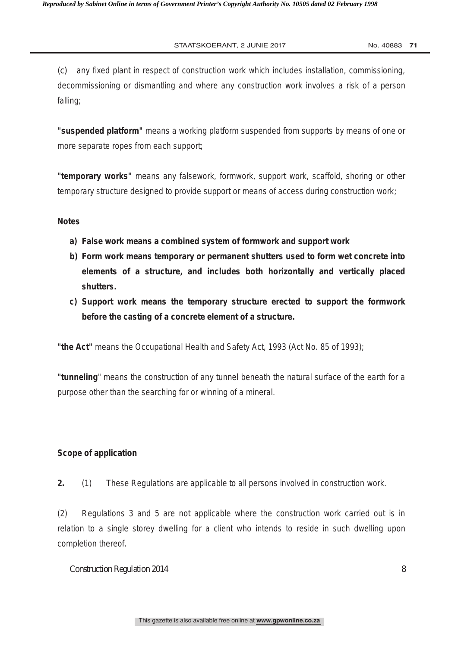*(c)* any fixed plant in respect of construction work which includes installation, commissioning, decommissioning or dismantling and where any construction work involves a risk of a person falling;

**"suspended platform"** means a working platform suspended from supports by means of one or more separate ropes from each support;

**"temporary works"** means any falsework, formwork, support work, scaffold, shoring or other temporary structure designed to provide support or means of access during construction work;

#### **Notes**

- **a) False work means a combined system of formwork and support work**
- **b) Form work means temporary or permanent shutters used to form wet concrete into elements of a structure, and includes both horizontally and vertically placed shutters.**
- **c) Support work means the temporary structure erected to support the formwork before the casting of a concrete element of a structure.**

**"the Act"** means the Occupational Health and Safety Act, 1993 (Act No. 85 of 1993);

**"tunneling**" means the construction of any tunnel beneath the natural surface of the earth for a purpose other than the searching for or winning of a mineral.

# **Scope of application**

**2.** (1) These Regulations are applicable to all persons involved in construction work.

(2) Regulations 3 and 5 are not applicable where the construction work carried out is in relation to a single storey dwelling for a client who intends to reside in such dwelling upon completion thereof.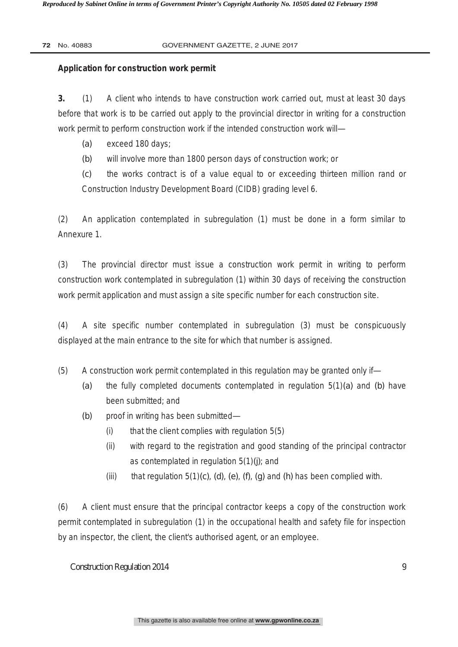# **Application for construction work permit**

**3.** (1) A client who intends to have construction work carried out, must at least 30 days before that work is to be carried out apply to the provincial director in writing for a construction work permit to perform construction work if the intended construction work will—

- *(a)* exceed 180 days;
- *(b)* will involve more than 1800 person days of construction work; or

*(c)* the works contract is of a value equal to or exceeding thirteen million rand or Construction Industry Development Board (CIDB) grading level 6.

(2) An application contemplated in subregulation (1) must be done in a form similar to Annexure 1.

(3) The provincial director must issue a construction work permit in writing to perform construction work contemplated in subregulation (1) within 30 days of receiving the construction work permit application and must assign a site specific number for each construction site.

(4) A site specific number contemplated in subregulation (3) must be conspicuously displayed at the main entrance to the site for which that number is assigned.

- (5) A construction work permit contemplated in this regulation may be granted only if—
	- *(a)* the fully completed documents contemplated in regulation 5(1)*(a)* and *(b)* have been submitted; and
	- *(b)* proof in writing has been submitted—
		- $(i)$  that the client complies with regulation  $5(5)$
		- (ii) with regard to the registration and good standing of the principal contractor as contemplated in regulation 5(1)*(j)*; and
		- (iii) that regulation 5(1)*(c)*, *(d)*, *(e)*, *(f)*, *(g)* and *(h)* has been complied with.

(6) A client must ensure that the principal contractor keeps a copy of the construction work permit contemplated in subregulation (1) in the occupational health and safety file for inspection by an inspector, the client, the client's authorised agent, or an employee.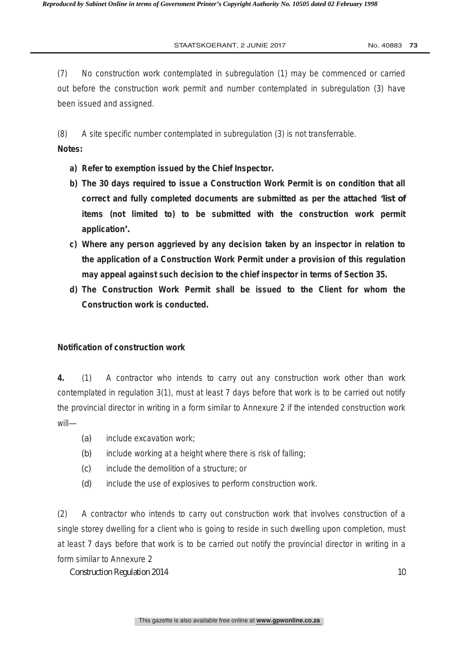(7) No construction work contemplated in subregulation (1) may be commenced or carried out before the construction work permit and number contemplated in subregulation (3) have been issued and assigned.

(8) A site specific number contemplated in subregulation (3) is not transferrable.

# **Notes:**

- **a) Refer to exemption issued by the Chief Inspector.**
- **b) The 30 days required to issue a Construction Work Permit is on condition that all correct and fully completed documents are submitted as per the attached 'list of items (not limited to) to be submitted with the construction work permit application'.**
- **c) Where any person aggrieved by any decision taken by an inspector in relation to the application of a Construction Work Permit under a provision of this regulation may appeal against such decision to the chief inspector in terms of Section 35.**
- **d) The Construction Work Permit shall be issued to the Client for whom the Construction work is conducted.**

# **Notification of construction work**

**4.** (1) A contractor who intends to carry out any construction work other than work contemplated in regulation 3(1), must at least 7 days before that work is to be carried out notify the provincial director in writing in a form similar to Annexure 2 if the intended construction work will—

- *(a)* include excavation work;
- *(b)* include working at a height where there is risk of falling;
- *(c)* include the demolition of a structure; or
- *(d)* include the use of explosives to perform construction work.

(2) A contractor who intends to carry out construction work that involves construction of a single storey dwelling for a client who is going to reside in such dwelling upon completion, must at least 7 days before that work is to be carried out notify the provincial director in writing in a form similar to Annexure 2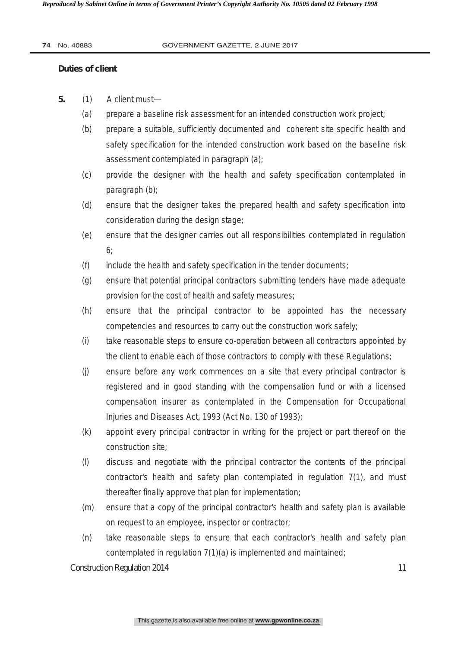### **Duties of client**

- **5.** (1) A client must—
	- *(a)* prepare a baseline risk assessment for an intended construction work project;
	- *(b)* prepare a suitable, sufficiently documented and coherent site specific health and safety specification for the intended construction work based on the baseline risk assessment contemplated in paragraph *(a)*;
	- *(c)* provide the designer with the health and safety specification contemplated in paragraph *(b)*;
	- *(d)* ensure that the designer takes the prepared health and safety specification into consideration during the design stage;
	- *(e)* ensure that the designer carries out all responsibilities contemplated in regulation 6;
	- *(f)* include the health and safety specification in the tender documents;
	- *(g)* ensure that potential principal contractors submitting tenders have made adequate provision for the cost of health and safety measures;
	- *(h)* ensure that the principal contractor to be appointed has the necessary competencies and resources to carry out the construction work safely;
	- *(i)* take reasonable steps to ensure co-operation between all contractors appointed by the client to enable each of those contractors to comply with these Regulations;
	- *(j)* ensure before any work commences on a site that every principal contractor is registered and in good standing with the compensation fund or with a licensed compensation insurer as contemplated in the Compensation for Occupational Injuries and Diseases Act, 1993 (Act No. 130 of 1993);
	- *(k)* appoint every principal contractor in writing for the project or part thereof on the construction site;
	- *(l)* discuss and negotiate with the principal contractor the contents of the principal contractor's health and safety plan contemplated in regulation 7(1), and must thereafter finally approve that plan for implementation;
	- *(m)* ensure that a copy of the principal contractor's health and safety plan is available on request to an employee, inspector or contractor;
	- *(n)* take reasonable steps to ensure that each contractor's health and safety plan contemplated in regulation 7(1)*(a)* is implemented and maintained;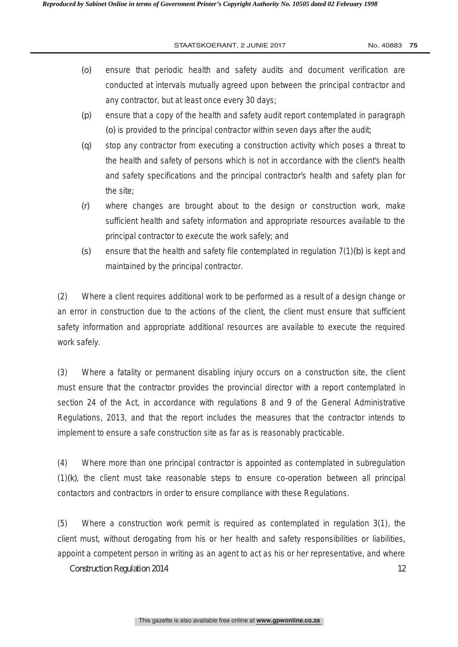- *(o)* ensure that periodic health and safety audits and document verification are conducted at intervals mutually agreed upon between the principal contractor and any contractor, but at least once every 30 days;
- *(p)* ensure that a copy of the health and safety audit report contemplated in paragraph *(o)* is provided to the principal contractor within seven days after the audit;
- *(q)* stop any contractor from executing a construction activity which poses a threat to the health and safety of persons which is not in accordance with the client's health and safety specifications and the principal contractor's health and safety plan for the site;
- *(r)* where changes are brought about to the design or construction work, make sufficient health and safety information and appropriate resources available to the principal contractor to execute the work safely; and
- *(s)* ensure that the health and safety file contemplated in regulation 7(1)*(b)* is kept and maintained by the principal contractor.

(2) Where a client requires additional work to be performed as a result of a design change or an error in construction due to the actions of the client, the client must ensure that sufficient safety information and appropriate additional resources are available to execute the required work safely.

(3) Where a fatality or permanent disabling injury occurs on a construction site, the client must ensure that the contractor provides the provincial director with a report contemplated in section 24 of the Act, in accordance with regulations 8 and 9 of the General Administrative Regulations, 2013, and that the report includes the measures that the contractor intends to implement to ensure a safe construction site as far as is reasonably practicable.

(4) Where more than one principal contractor is appointed as contemplated in subregulation (1)*(k)*, the client must take reasonable steps to ensure co-operation between all principal contactors and contractors in order to ensure compliance with these Regulations.

(5) Where a construction work permit is required as contemplated in regulation 3(1), the client must, without derogating from his or her health and safety responsibilities or liabilities, appoint a competent person in writing as an agent to act as his or her representative, and where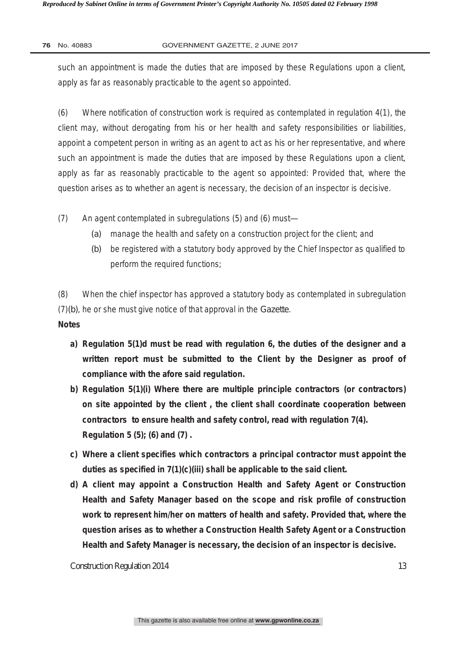such an appointment is made the duties that are imposed by these Regulations upon a client, apply as far as reasonably practicable to the agent so appointed.

(6) Where notification of construction work is required as contemplated in regulation 4(1), the client may, without derogating from his or her health and safety responsibilities or liabilities, appoint a competent person in writing as an agent to act as his or her representative, and where such an appointment is made the duties that are imposed by these Regulations upon a client, apply as far as reasonably practicable to the agent so appointed: Provided that, where the question arises as to whether an agent is necessary, the decision of an inspector is decisive.

(7) An agent contemplated in subregulations (5) and (6) must—

- *(a)* manage the health and safety on a construction project for the client; and
- *(b)* be registered with a statutory body approved by the Chief Inspector as qualified to perform the required functions;

(8) When the chief inspector has approved a statutory body as contemplated in subregulation (7)*(b)*, he or she must give notice of that approval in the *Gazette*.

# **Notes**

- **a) Regulation 5(1)d must be read with regulation 6, the duties of the designer and a written report must be submitted to the Client by the Designer as proof of compliance with the afore said regulation.**
- **b) Regulation 5(1)(i) Where there are multiple principle contractors (or contractors) on site appointed by the client , the client shall coordinate cooperation between contractors to ensure health and safety control, read with regulation 7(4). Regulation 5 (5); (6) and (7) .**
- **c) Where a client specifies which contractors a principal contractor must appoint the duties as specified in 7(1)(c)(iii) shall be applicable to the said client.**
- **d) A client may appoint a Construction Health and Safety Agent or Construction Health and Safety Manager based on the scope and risk profile of construction work to represent him/her on matters of health and safety. Provided that, where the question arises as to whether a Construction Health Safety Agent or a Construction Health and Safety Manager is necessary, the decision of an inspector is decisive.**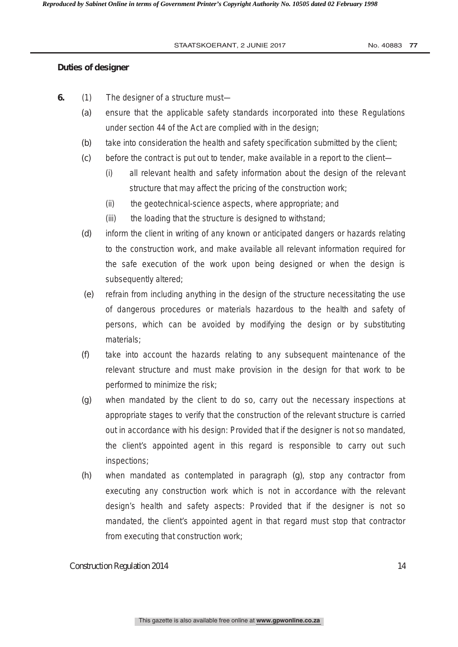# **Duties of designer**

- **6.** (1) The designer of a structure must—
	- *(a)* ensure that the applicable safety standards incorporated into these Regulations under section 44 of the Act are complied with in the design;
	- *(b)* take into consideration the health and safety specification submitted by the client;
	- *(c)* before the contract is put out to tender, make available in a report to the client—
		- (i) all relevant health and safety information about the design of the relevant structure that may affect the pricing of the construction work;
		- (ii) the geotechnical-science aspects, where appropriate; and
		- (iii) the loading that the structure is designed to withstand;
	- *(d)* inform the client in writing of any known or anticipated dangers or hazards relating to the construction work, and make available all relevant information required for the safe execution of the work upon being designed or when the design is subsequently altered;
	- *(e)* refrain from including anything in the design of the structure necessitating the use of dangerous procedures or materials hazardous to the health and safety of persons, which can be avoided by modifying the design or by substituting materials;
	- *(f)* take into account the hazards relating to any subsequent maintenance of the relevant structure and must make provision in the design for that work to be performed to minimize the risk;
	- *(g)* when mandated by the client to do so, carry out the necessary inspections at appropriate stages to verify that the construction of the relevant structure is carried out in accordance with his design: Provided that if the designer is not so mandated, the client's appointed agent in this regard is responsible to carry out such inspections;
	- *(h)* when mandated as contemplated in paragraph *(g)*, stop any contractor from executing any construction work which is not in accordance with the relevant design's health and safety aspects: Provided that if the designer is not so mandated, the client's appointed agent in that regard must stop that contractor from executing that construction work;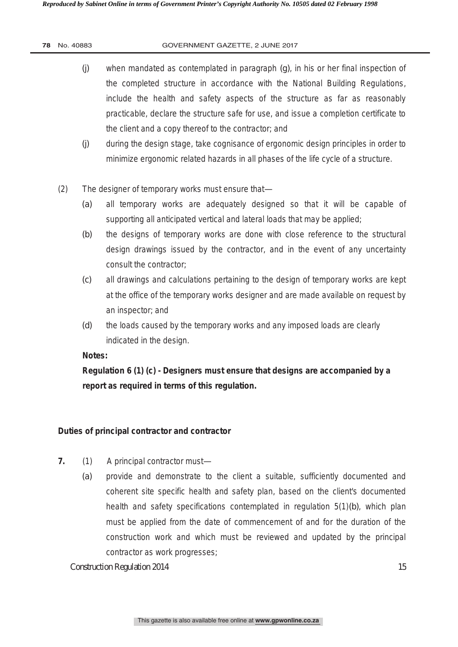- *(j)* when mandated as contemplated in paragraph *(g)*, in his or her final inspection of the completed structure in accordance with the National Building Regulations, include the health and safety aspects of the structure as far as reasonably practicable, declare the structure safe for use, and issue a completion certificate to the client and a copy thereof to the contractor; and
- *(j)* during the design stage, take cognisance of ergonomic design principles in order to minimize ergonomic related hazards in all phases of the life cycle of a structure.
- (2) The designer of temporary works must ensure that—
	- *(a)* all temporary works are adequately designed so that it will be capable of supporting all anticipated vertical and lateral loads that may be applied;
	- *(b)* the designs of temporary works are done with close reference to the structural design drawings issued by the contractor, and in the event of any uncertainty consult the contractor;
	- *(c)* all drawings and calculations pertaining to the design of temporary works are kept at the office of the temporary works designer and are made available on request by an inspector; and
	- *(d)* the loads caused by the temporary works and any imposed loads are clearly indicated in the design.

# **Notes:**

**Regulation 6 (1) (c) - Designers must ensure that designs are accompanied by a report as required in terms of this regulation.** 

# **Duties of principal contractor and contractor**

- **7.** (1) A principal contractor must—
	- *(a)* provide and demonstrate to the client a suitable, sufficiently documented and coherent site specific health and safety plan, based on the client's documented health and safety specifications contemplated in regulation 5(1)*(b)*, which plan must be applied from the date of commencement of and for the duration of the construction work and which must be reviewed and updated by the principal contractor as work progresses;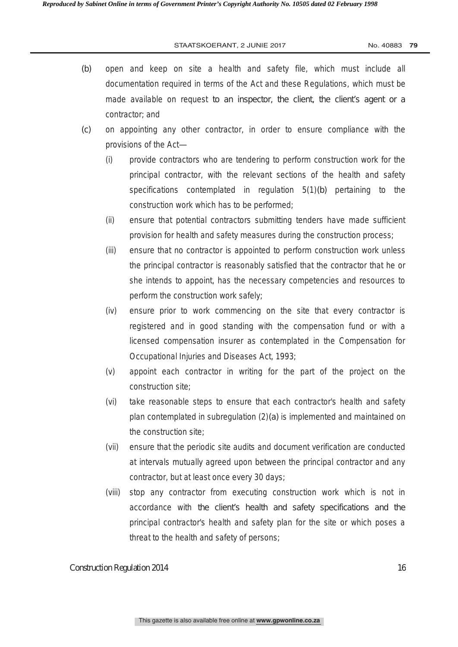- *(b)* open and keep on site a health and safety file, which must include all documentation required in terms of the Act and these Regulations, which must be made available on request to an inspector, the client, the client's agent or a contractor; and
- *(c)* on appointing any other contractor, in order to ensure compliance with the provisions of the Act—
	- (i) provide contractors who are tendering to perform construction work for the principal contractor, with the relevant sections of the health and safety specifications contemplated in regulation 5(1)*(b)* pertaining to the construction work which has to be performed;
	- (ii) ensure that potential contractors submitting tenders have made sufficient provision for health and safety measures during the construction process;
	- (iii) ensure that no contractor is appointed to perform construction work unless the principal contractor is reasonably satisfied that the contractor that he or she intends to appoint, has the necessary competencies and resources to perform the construction work safely;
	- (iv) ensure prior to work commencing on the site that every contractor is registered and in good standing with the compensation fund or with a licensed compensation insurer as contemplated in the Compensation for Occupational Injuries and Diseases Act, 1993;
	- (v) appoint each contractor in writing for the part of the project on the construction site;
	- (vi) take reasonable steps to ensure that each contractor's health and safety plan contemplated in subregulation (2)*(a)* is implemented and maintained on the construction site;
	- (vii) ensure that the periodic site audits and document verification are conducted at intervals mutually agreed upon between the principal contractor and any contractor, but at least once every 30 days;
	- (viii) stop any contractor from executing construction work which is not in accordance with the client's health and safety specifications and the principal contractor's health and safety plan for the site or which poses a threat to the health and safety of persons;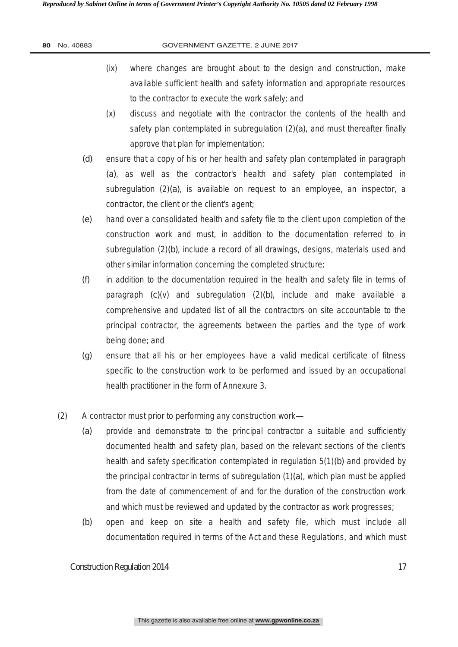- (ix) where changes are brought about to the design and construction, make available sufficient health and safety information and appropriate resources to the contractor to execute the work safely; and
- (x) discuss and negotiate with the contractor the contents of the health and safety plan contemplated in subregulation (2)*(a)*, and must thereafter finally approve that plan for implementation;
- *(d)* ensure that a copy of his or her health and safety plan contemplated in paragraph *(a)*, as well as the contractor's health and safety plan contemplated in subregulation (2)*(a)*, is available on request to an employee, an inspector, a contractor, the client or the client's agent;
- *(e)* hand over a consolidated health and safety file to the client upon completion of the construction work and must, in addition to the documentation referred to in subregulation (2)*(b)*, include a record of all drawings, designs, materials used and other similar information concerning the completed structure;
- *(f)* in addition to the documentation required in the health and safety file in terms of paragraph *(c)*(v) and subregulation (2)*(b)*, include and make available a comprehensive and updated list of all the contractors on site accountable to the principal contractor, the agreements between the parties and the type of work being done; and
- *(g)* ensure that all his or her employees have a valid medical certificate of fitness specific to the construction work to be performed and issued by an occupational health practitioner in the form of Annexure 3.
- (2) A contractor must prior to performing any construction work—
	- *(a)* provide and demonstrate to the principal contractor a suitable and sufficiently documented health and safety plan, based on the relevant sections of the client's health and safety specification contemplated in regulation 5(1)*(b)* and provided by the principal contractor in terms of subregulation (1)*(a*), which plan must be applied from the date of commencement of and for the duration of the construction work and which must be reviewed and updated by the contractor as work progresses;
	- *(b)* open and keep on site a health and safety file, which must include all documentation required in terms of the Act and these Regulations, and which must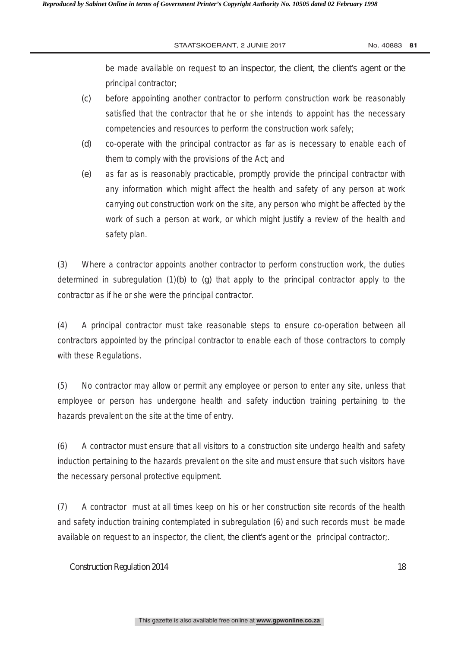be made available on request to an inspector, the client, the client's agent or the principal contractor;

- *(c)* before appointing another contractor to perform construction work be reasonably satisfied that the contractor that he or she intends to appoint has the necessary competencies and resources to perform the construction work safely;
- *(d)* co-operate with the principal contractor as far as is necessary to enable each of them to comply with the provisions of the Act; and
- *(e)* as far as is reasonably practicable, promptly provide the principal contractor with any information which might affect the health and safety of any person at work carrying out construction work on the site, any person who might be affected by the work of such a person at work, or which might justify a review of the health and safety plan.

(3) Where a contractor appoints another contractor to perform construction work, the duties determined in subregulation (1)*(b)* to *(g)* that apply to the principal contractor apply to the contractor as if he or she were the principal contractor.

(4) A principal contractor must take reasonable steps to ensure co-operation between all contractors appointed by the principal contractor to enable each of those contractors to comply with these Regulations.

(5) No contractor may allow or permit any employee or person to enter any site, unless that employee or person has undergone health and safety induction training pertaining to the hazards prevalent on the site at the time of entry.

(6) A contractor must ensure that all visitors to a construction site undergo health and safety induction pertaining to the hazards prevalent on the site and must ensure that such visitors have the necessary personal protective equipment.

(7) A contractor must at all times keep on his or her construction site records of the health and safety induction training contemplated in subregulation (6) and such records must be made available on request to an inspector, the client, the client's agent or the principal contractor;.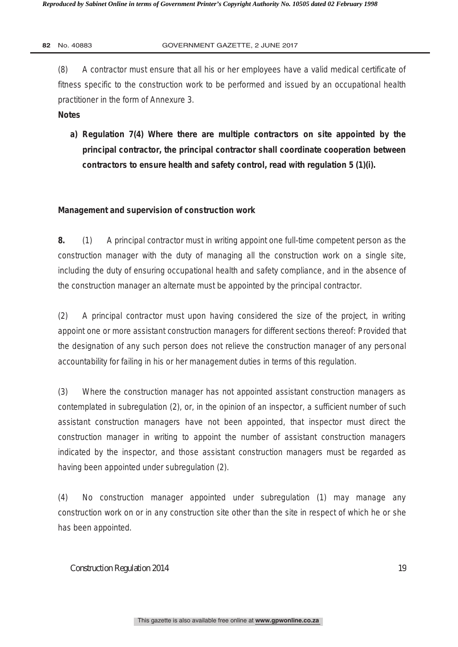(8) A contractor must ensure that all his or her employees have a valid medical certificate of fitness specific to the construction work to be performed and issued by an occupational health practitioner in the form of Annexure 3.

# **Notes**

**a) Regulation 7(4) Where there are multiple contractors on site appointed by the principal contractor, the principal contractor shall coordinate cooperation between contractors to ensure health and safety control, read with regulation 5 (1)(i).** 

# **Management and supervision of construction work**

**8.** (1) A principal contractor must in writing appoint one full-time competent person as the construction manager with the duty of managing all the construction work on a single site, including the duty of ensuring occupational health and safety compliance, and in the absence of the construction manager an alternate must be appointed by the principal contractor.

(2) A principal contractor must upon having considered the size of the project, in writing appoint one or more assistant construction managers for different sections thereof: Provided that the designation of any such person does not relieve the construction manager of any personal accountability for failing in his or her management duties in terms of this regulation.

(3) Where the construction manager has not appointed assistant construction managers as contemplated in subregulation (2), or, in the opinion of an inspector, a sufficient number of such assistant construction managers have not been appointed, that inspector must direct the construction manager in writing to appoint the number of assistant construction managers indicated by the inspector, and those assistant construction managers must be regarded as having been appointed under subregulation (2).

(4) No construction manager appointed under subregulation (1) may manage any construction work on or in any construction site other than the site in respect of which he or she has been appointed.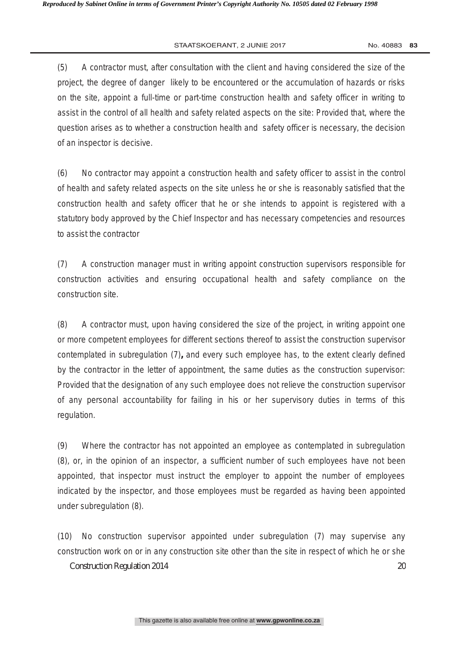(5) A contractor must, after consultation with the client and having considered the size of the project, the degree of danger likely to be encountered or the accumulation of hazards or risks on the site, appoint a full-time or part-time construction health and safety officer in writing to assist in the control of all health and safety related aspects on the site: Provided that, where the question arises as to whether a construction health and safety officer is necessary, the decision of an inspector is decisive.

(6) No contractor may appoint a construction health and safety officer to assist in the control of health and safety related aspects on the site unless he or she is reasonably satisfied that the construction health and safety officer that he or she intends to appoint is registered with a statutory body approved by the Chief Inspector and has necessary competencies and resources to assist the contractor

(7) A construction manager must in writing appoint construction supervisors responsible for construction activities and ensuring occupational health and safety compliance on the construction site.

(8) A contractor must, upon having considered the size of the project, in writing appoint one or more competent employees for different sections thereof to assist the construction supervisor contemplated in subregulation (7)**,** and every such employee has, to the extent clearly defined by the contractor in the letter of appointment, the same duties as the construction supervisor: Provided that the designation of any such employee does not relieve the construction supervisor of any personal accountability for failing in his or her supervisory duties in terms of this regulation.

(9) Where the contractor has not appointed an employee as contemplated in subregulation (8), or, in the opinion of an inspector, a sufficient number of such employees have not been appointed, that inspector must instruct the employer to appoint the number of employees indicated by the inspector, and those employees must be regarded as having been appointed under subregulation (8).

Construction Regulation 2014 20 (10) No construction supervisor appointed under subregulation (7) may supervise any construction work on or in any construction site other than the site in respect of which he or she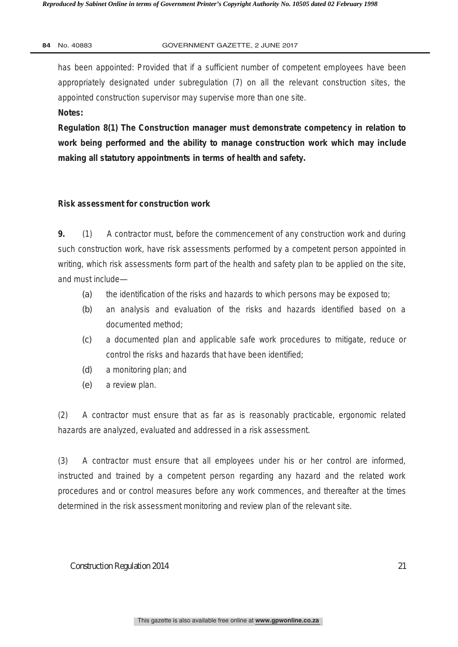has been appointed: Provided that if a sufficient number of competent employees have been appropriately designated under subregulation (7) on all the relevant construction sites, the appointed construction supervisor may supervise more than one site.

**Notes:** 

**Regulation 8(1) The Construction manager must demonstrate competency in relation to work being performed and the ability to manage construction work which may include making all statutory appointments in terms of health and safety.** 

# **Risk assessment for construction work**

**9.** (1) A contractor must, before the commencement of any construction work and during such construction work, have risk assessments performed by a competent person appointed in writing, which risk assessments form part of the health and safety plan to be applied on the site, and must include—

- *(a)* the identification of the risks and hazards to which persons may be exposed to;
- *(b)* an analysis and evaluation of the risks and hazards identified based on a documented method;
- *(c)* a documented plan and applicable safe work procedures to mitigate, reduce or control the risks and hazards that have been identified;
- *(d)* a monitoring plan; and
- *(e)* a review plan.

(2) A contractor must ensure that as far as is reasonably practicable, ergonomic related hazards are analyzed, evaluated and addressed in a risk assessment.

(3) A contractor must ensure that all employees under his or her control are informed, instructed and trained by a competent person regarding any hazard and the related work procedures and or control measures before any work commences, and thereafter at the times determined in the risk assessment monitoring and review plan of the relevant site.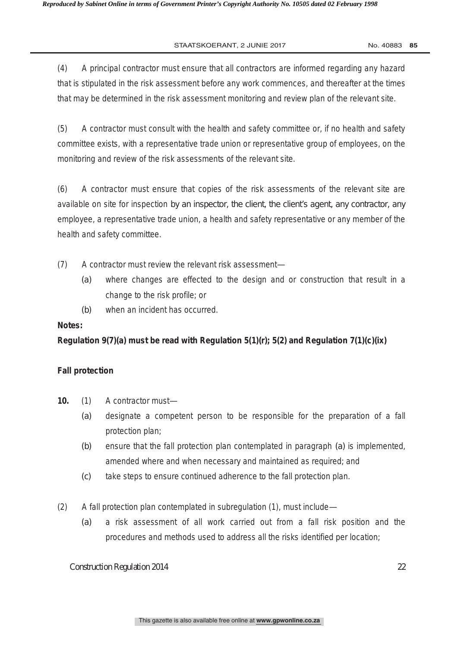(4) A principal contractor must ensure that all contractors are informed regarding any hazard that is stipulated in the risk assessment before any work commences, and thereafter at the times that may be determined in the risk assessment monitoring and review plan of the relevant site.

(5) A contractor must consult with the health and safety committee or, if no health and safety committee exists, with a representative trade union or representative group of employees, on the monitoring and review of the risk assessments of the relevant site.

(6) A contractor must ensure that copies of the risk assessments of the relevant site are available on site for inspection by an inspector, the client, the client's agent, any contractor, any employee, a representative trade union, a health and safety representative or any member of the health and safety committee.

- (7) A contractor must review the relevant risk assessment—
	- *(a)* where changes are effected to the design and or construction that result in a change to the risk profile; or
	- *(b)* when an incident has occurred.

# **Notes:**

# **Regulation 9(7)(a) must be read with Regulation 5(1)(r); 5(2) and Regulation 7(1)(c)(ix)**

# **Fall protection**

- **10.** (1) A contractor must—
	- *(a)* designate a competent person to be responsible for the preparation of a fall protection plan;
	- *(b)* ensure that the fall protection plan contemplated in paragraph *(a)* is implemented, amended where and when necessary and maintained as required; and
	- *(c)* take steps to ensure continued adherence to the fall protection plan.
- (2) A fall protection plan contemplated in subregulation (1), must include—
	- *(a)* a risk assessment of all work carried out from a fall risk position and the procedures and methods used to address all the risks identified per location;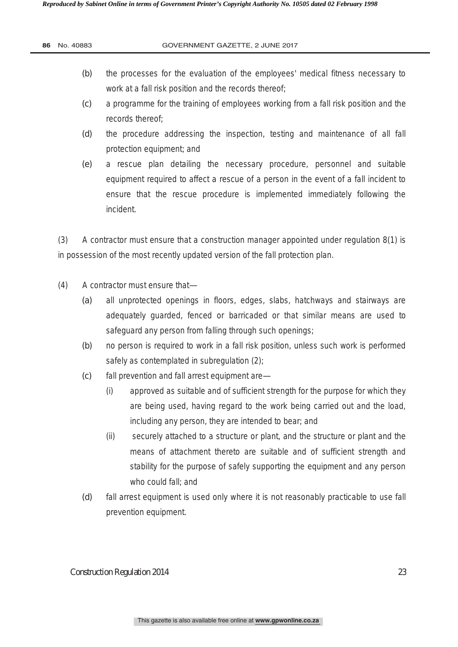#### **GOVERNMENT GAZETTE, 2 JUNE 2017**

- *(b)* the processes for the evaluation of the employees' medical fitness necessary to work at a fall risk position and the records thereof;
- *(c)* a programme for the training of employees working from a fall risk position and the records thereof;
- *(d)* the procedure addressing the inspection, testing and maintenance of all fall protection equipment; and
- *(e)* a rescue plan detailing the necessary procedure, personnel and suitable equipment required to affect a rescue of a person in the event of a fall incident to ensure that the rescue procedure is implemented immediately following the incident.

(3) A contractor must ensure that a construction manager appointed under regulation 8(1) is in possession of the most recently updated version of the fall protection plan.

- (4) A contractor must ensure that—
	- *(a)* all unprotected openings in floors, edges, slabs, hatchways and stairways are adequately guarded, fenced or barricaded or that similar means are used to safeguard any person from falling through such openings;
	- *(b)* no person is required to work in a fall risk position, unless such work is performed safely as contemplated in subregulation (2);
	- *(c)* fall prevention and fall arrest equipment are—
		- (i) approved as suitable and of sufficient strength for the purpose for which they are being used, having regard to the work being carried out and the load, including any person, they are intended to bear; and
		- (ii) securely attached to a structure or plant, and the structure or plant and the means of attachment thereto are suitable and of sufficient strength and stability for the purpose of safely supporting the equipment and any person who could fall; and
	- *(d)* fall arrest equipment is used only where it is not reasonably practicable to use fall prevention equipment.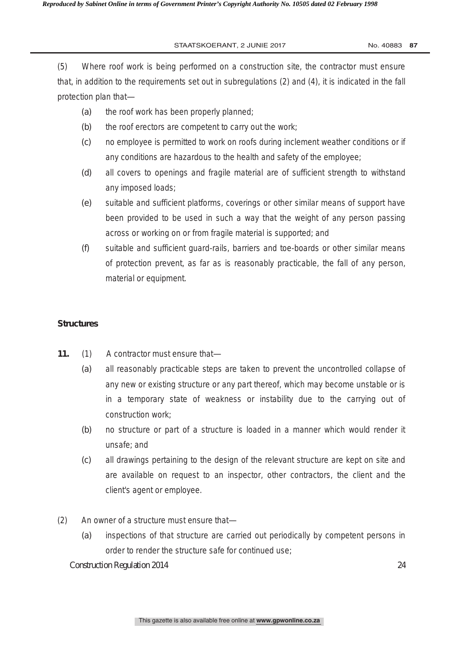(5) Where roof work is being performed on a construction site, the contractor must ensure that, in addition to the requirements set out in subregulations (2) and (4), it is indicated in the fall protection plan that—

- *(a)* the roof work has been properly planned;
- *(b)* the roof erectors are competent to carry out the work;
- *(c)* no employee is permitted to work on roofs during inclement weather conditions or if any conditions are hazardous to the health and safety of the employee;
- *(d)* all covers to openings and fragile material are of sufficient strength to withstand any imposed loads;
- *(e)* suitable and sufficient platforms, coverings or other similar means of support have been provided to be used in such a way that the weight of any person passing across or working on or from fragile material is supported; and
- *(f)* suitable and sufficient guard-rails, barriers and toe-boards or other similar means of protection prevent, as far as is reasonably practicable, the fall of any person, material or equipment.

# **Structures**

- **11.** (1) A contractor must ensure that—
	- *(a)* all reasonably practicable steps are taken to prevent the uncontrolled collapse of any new or existing structure or any part thereof, which may become unstable or is in a temporary state of weakness or instability due to the carrying out of construction work;
	- *(b)* no structure or part of a structure is loaded in a manner which would render it unsafe; and
	- *(c)* all drawings pertaining to the design of the relevant structure are kept on site and are available on request to an inspector, other contractors, the client and the client's agent or employee.
- (2) An owner of a structure must ensure that—
	- *(a)* inspections of that structure are carried out periodically by competent persons in order to render the structure safe for continued use;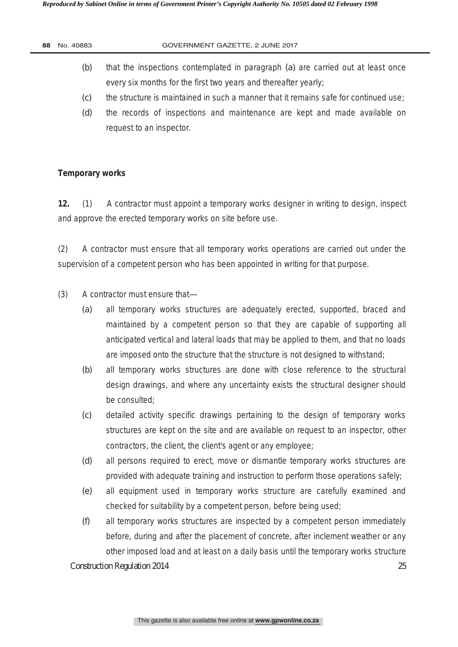| 88 | No. 40883 | GOVERNMENT GAZETTE, 2 JUNE 2017                                                                                                                     |
|----|-----------|-----------------------------------------------------------------------------------------------------------------------------------------------------|
|    | (b)       | that the inspections contemplated in paragraph (a) are carried out at least once<br>every six months for the first two years and thereafter yearly; |
|    | (C)       | the structure is maintained in such a manner that it remains safe for continued use;                                                                |
|    | (d)       | the records of inspections and maintenance are kept and made available on                                                                           |

# **Temporary works**

**12.** (1) A contractor must appoint a temporary works designer in writing to design, inspect and approve the erected temporary works on site before use.

(2) A contractor must ensure that all temporary works operations are carried out under the supervision of a competent person who has been appointed in writing for that purpose.

(3) A contractor must ensure that—

request to an inspector.

- *(a)* all temporary works structures are adequately erected, supported, braced and maintained by a competent person so that they are capable of supporting all anticipated vertical and lateral loads that may be applied to them, and that no loads are imposed onto the structure that the structure is not designed to withstand;
- *(b)* all temporary works structures are done with close reference to the structural design drawings, and where any uncertainty exists the structural designer should be consulted;
- *(c)* detailed activity specific drawings pertaining to the design of temporary works structures are kept on the site and are available on request to an inspector, other contractors, the client, the client's agent or any employee;
- *(d)* all persons required to erect, move or dismantle temporary works structures are provided with adequate training and instruction to perform those operations safely;
- *(e)* all equipment used in temporary works structure are carefully examined and checked for suitability by a competent person, before being used;
- *(f)* all temporary works structures are inspected by a competent person immediately before, during and after the placement of concrete, after inclement weather or any other imposed load and at least on a daily basis until the temporary works structure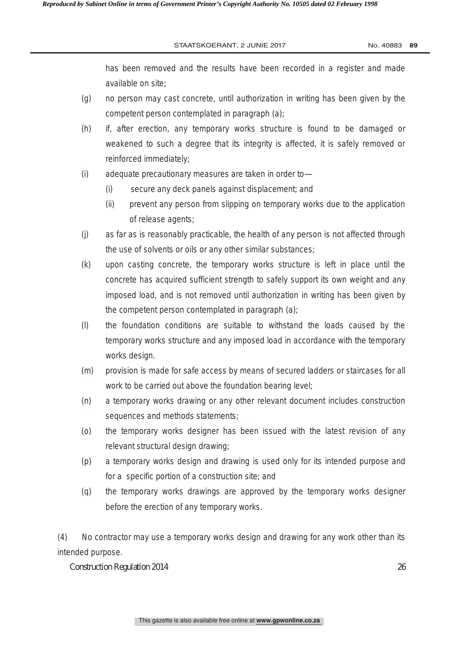has been removed and the results have been recorded in a register and made available on site;

- *(g)* no person may cast concrete, until authorization in writing has been given by the competent person contemplated in paragraph *(a)*;
- *(h)* if, after erection, any temporary works structure is found to be damaged or weakened to such a degree that its integrity is affected, it is safely removed or reinforced immediately;
- *(i)* adequate precautionary measures are taken in order to—
	- (i) secure any deck panels against displacement; and
	- (ii) prevent any person from slipping on temporary works due to the application of release agents;
- *(j)* as far as is reasonably practicable, the health of any person is not affected through the use of solvents or oils or any other similar substances;
- *(k)* upon casting concrete, the temporary works structure is left in place until the concrete has acquired sufficient strength to safely support its own weight and any imposed load, and is not removed until authorization in writing has been given by the competent person contemplated in paragraph *(a)*;
- *(l)* the foundation conditions are suitable to withstand the loads caused by the temporary works structure and any imposed load in accordance with the temporary works design.
- *(m)* provision is made for safe access by means of secured ladders or staircases for all work to be carried out above the foundation bearing level;
- *(n)* a temporary works drawing or any other relevant document includes construction sequences and methods statements;
- *(o)* the temporary works designer has been issued with the latest revision of any relevant structural design drawing;
- *(p)* a temporary works design and drawing is used only for its intended purpose and for a specific portion of a construction site; and
- *(q)* the temporary works drawings are approved by the temporary works designer before the erection of any temporary works.

(4) No contractor may use a temporary works design and drawing for any work other than its intended purpose.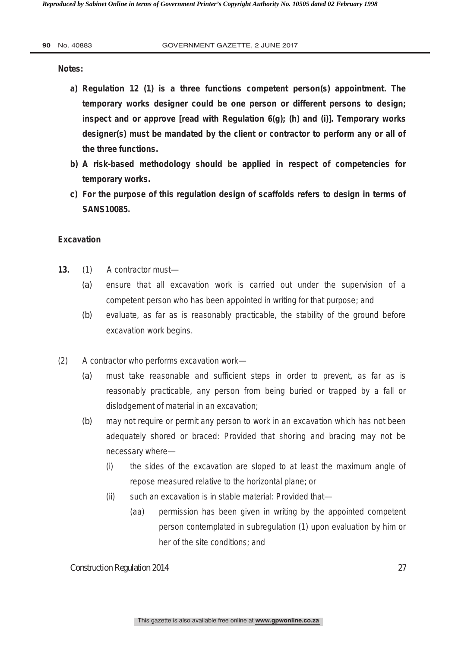**Notes:** 

- **a) Regulation 12 (1) is a three functions competent person(s) appointment. The temporary works designer could be one person or different persons to design; inspect and or approve [read with Regulation 6(g); (h) and (i)]. Temporary works designer(s) must be mandated by the client or contractor to perform any or all of the three functions.**
- **b) A risk-based methodology should be applied in respect of competencies for temporary works.**
- **c) For the purpose of this regulation design of scaffolds refers to design in terms of SANS10085.**

### **Excavation**

- **13.** (1) A contractor must—
	- *(a)* ensure that all excavation work is carried out under the supervision of a competent person who has been appointed in writing for that purpose; and
	- *(b)* evaluate, as far as is reasonably practicable, the stability of the ground before excavation work begins.
- (2) A contractor who performs excavation work—
	- *(a)* must take reasonable and sufficient steps in order to prevent, as far as is reasonably practicable, any person from being buried or trapped by a fall or dislodgement of material in an excavation;
	- *(b)* may not require or permit any person to work in an excavation which has not been adequately shored or braced: Provided that shoring and bracing may not be necessary where—
		- (i) the sides of the excavation are sloped to at least the maximum angle of repose measured relative to the horizontal plane; or
		- (ii) such an excavation is in stable material: Provided that—
			- (aa) permission has been given in writing by the appointed competent person contemplated in subregulation (1) upon evaluation by him or her of the site conditions; and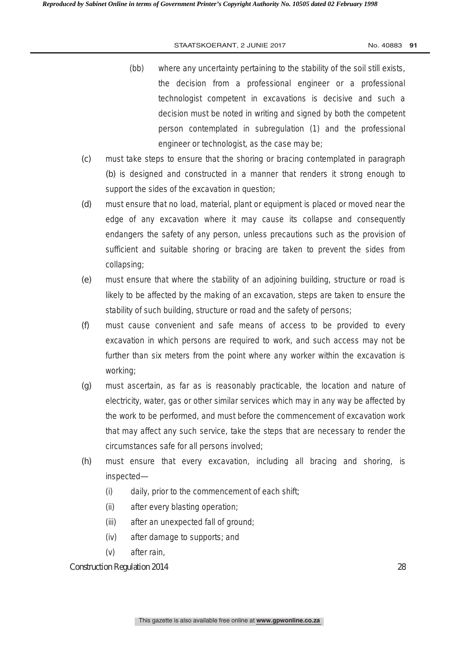- (bb) where any uncertainty pertaining to the stability of the soil still exists, the decision from a professional engineer or a professional technologist competent in excavations is decisive and such a decision must be noted in writing and signed by both the competent person contemplated in subregulation (1) and the professional engineer or technologist, as the case may be;
- *(c)* must take steps to ensure that the shoring or bracing contemplated in paragraph *(b)* is designed and constructed in a manner that renders it strong enough to support the sides of the excavation in question;
- *(d)* must ensure that no load, material, plant or equipment is placed or moved near the edge of any excavation where it may cause its collapse and consequently endangers the safety of any person, unless precautions such as the provision of sufficient and suitable shoring or bracing are taken to prevent the sides from collapsing;
- *(e)* must ensure that where the stability of an adjoining building, structure or road is likely to be affected by the making of an excavation, steps are taken to ensure the stability of such building, structure or road and the safety of persons;
- *(f)* must cause convenient and safe means of access to be provided to every excavation in which persons are required to work, and such access may not be further than six meters from the point where any worker within the excavation is working;
- *(g)* must ascertain, as far as is reasonably practicable, the location and nature of electricity, water, gas or other similar services which may in any way be affected by the work to be performed, and must before the commencement of excavation work that may affect any such service, take the steps that are necessary to render the circumstances safe for all persons involved;
- *(h)* must ensure that every excavation, including all bracing and shoring, is inspected—
	- (i) daily, prior to the commencement of each shift;
	- (ii) after every blasting operation;
	- (iii) after an unexpected fall of ground;
	- (iv) after damage to supports; and
	- (v) after rain,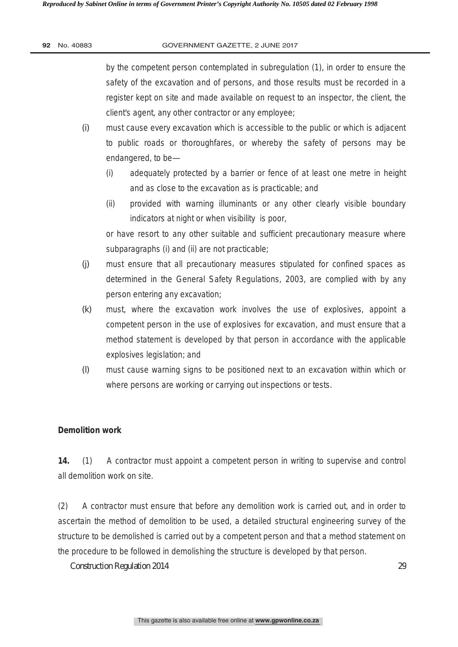by the competent person contemplated in subregulation (1), in order to ensure the safety of the excavation and of persons, and those results must be recorded in a register kept on site and made available on request to an inspector, the client, the client's agent, any other contractor or any employee;

- *(i)* must cause every excavation which is accessible to the public or which is adjacent to public roads or thoroughfares, or whereby the safety of persons may be endangered, to be—
	- (i) adequately protected by a barrier or fence of at least one metre in height and as close to the excavation as is practicable; and
	- (ii) provided with warning illuminants or any other clearly visible boundary indicators at night or when visibility is poor,

or have resort to any other suitable and sufficient precautionary measure where subparagraphs (i) and (ii) are not practicable;

- *(j)* must ensure that all precautionary measures stipulated for confined spaces as determined in the General Safety Regulations, 2003, are complied with by any person entering any excavation;
- *(k)* must, where the excavation work involves the use of explosives, appoint a competent person in the use of explosives for excavation, and must ensure that a method statement is developed by that person in accordance with the applicable explosives legislation; and
- *(l)* must cause warning signs to be positioned next to an excavation within which or where persons are working or carrying out inspections or tests.

# **Demolition work**

**14.** (1) A contractor must appoint a competent person in writing to supervise and control all demolition work on site.

(2) A contractor must ensure that before any demolition work is carried out, and in order to ascertain the method of demolition to be used, a detailed structural engineering survey of the structure to be demolished is carried out by a competent person and that a method statement on the procedure to be followed in demolishing the structure is developed by that person.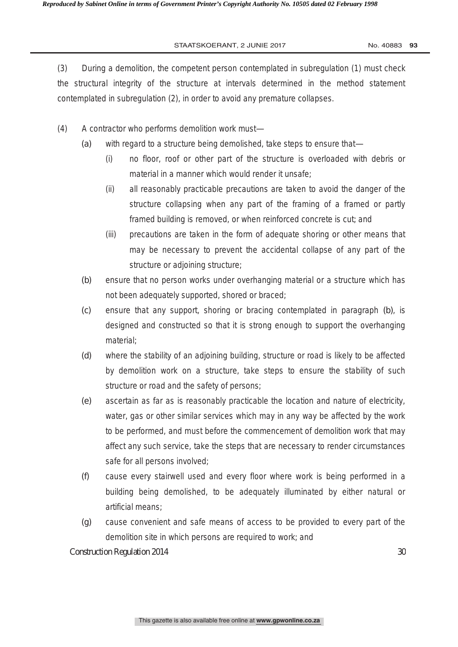(3) During a demolition, the competent person contemplated in subregulation (1) must check the structural integrity of the structure at intervals determined in the method statement contemplated in subregulation (2), in order to avoid any premature collapses.

- (4) A contractor who performs demolition work must—
	- *(a)* with regard to a structure being demolished, take steps to ensure that—
		- (i) no floor, roof or other part of the structure is overloaded with debris or material in a manner which would render it unsafe;
		- (ii) all reasonably practicable precautions are taken to avoid the danger of the structure collapsing when any part of the framing of a framed or partly framed building is removed, or when reinforced concrete is cut; and
		- (iii) precautions are taken in the form of adequate shoring or other means that may be necessary to prevent the accidental collapse of any part of the structure or adjoining structure;
	- *(b)* ensure that no person works under overhanging material or a structure which has not been adequately supported, shored or braced;
	- *(c)* ensure that any support, shoring or bracing contemplated in paragraph *(b)*, is designed and constructed so that it is strong enough to support the overhanging material;
	- *(d)* where the stability of an adjoining building, structure or road is likely to be affected by demolition work on a structure, take steps to ensure the stability of such structure or road and the safety of persons;
	- *(e)* ascertain as far as is reasonably practicable the location and nature of electricity, water, gas or other similar services which may in any way be affected by the work to be performed, and must before the commencement of demolition work that may affect any such service, take the steps that are necessary to render circumstances safe for all persons involved;
	- *(f)* cause every stairwell used and every floor where work is being performed in a building being demolished, to be adequately illuminated by either natural or artificial means;
	- *(g)* cause convenient and safe means of access to be provided to every part of the demolition site in which persons are required to work; and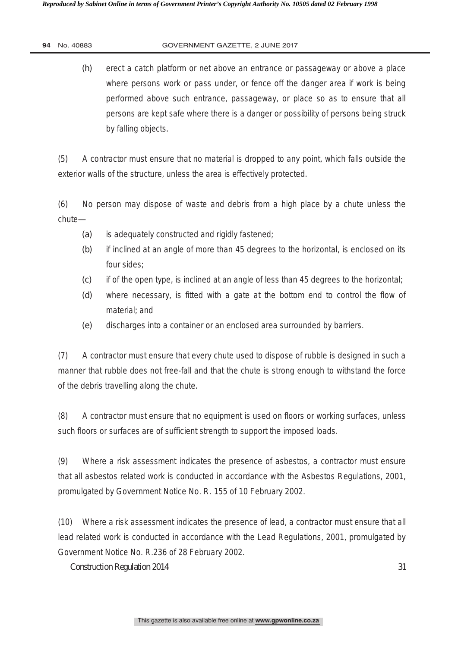*(h)* erect a catch platform or net above an entrance or passageway or above a place where persons work or pass under, or fence off the danger area if work is being performed above such entrance, passageway, or place so as to ensure that all persons are kept safe where there is a danger or possibility of persons being struck by falling objects.

(5) A contractor must ensure that no material is dropped to any point, which falls outside the exterior walls of the structure, unless the area is effectively protected.

(6) No person may dispose of waste and debris from a high place by a chute unless the chute—

- *(a)* is adequately constructed and rigidly fastened;
- *(b)* if inclined at an angle of more than 45 degrees to the horizontal, is enclosed on its four sides;
- *(c)* if of the open type, is inclined at an angle of less than 45 degrees to the horizontal;
- *(d)* where necessary, is fitted with a gate at the bottom end to control the flow of material; and
- *(e)* discharges into a container or an enclosed area surrounded by barriers.

(7) A contractor must ensure that every chute used to dispose of rubble is designed in such a manner that rubble does not free-fall and that the chute is strong enough to withstand the force of the debris travelling along the chute.

(8) A contractor must ensure that no equipment is used on floors or working surfaces, unless such floors or surfaces are of sufficient strength to support the imposed loads.

(9) Where a risk assessment indicates the presence of asbestos, a contractor must ensure that all asbestos related work is conducted in accordance with the Asbestos Regulations, 2001, promulgated by Government Notice No. R. 155 of 10 February 2002.

(10) Where a risk assessment indicates the presence of lead, a contractor must ensure that all lead related work is conducted in accordance with the Lead Regulations, 2001, promulgated by Government Notice No. R.236 of 28 February 2002.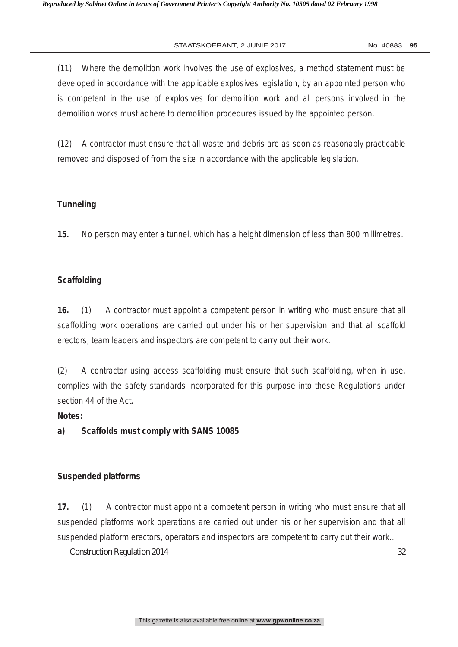(11) Where the demolition work involves the use of explosives, a method statement must be developed in accordance with the applicable explosives legislation, by an appointed person who is competent in the use of explosives for demolition work and all persons involved in the demolition works must adhere to demolition procedures issued by the appointed person.

(12) A contractor must ensure that all waste and debris are as soon as reasonably practicable removed and disposed of from the site in accordance with the applicable legislation.

# **Tunneling**

**15.** No person may enter a tunnel, which has a height dimension of less than 800 millimetres.

# **Scaffolding**

**16.** (1) A contractor must appoint a competent person in writing who must ensure that all scaffolding work operations are carried out under his or her supervision and that all scaffold erectors, team leaders and inspectors are competent to carry out their work.

(2) A contractor using access scaffolding must ensure that such scaffolding, when in use, complies with the safety standards incorporated for this purpose into these Regulations under section 44 of the Act.

# **Notes:**

**a) Scaffolds must comply with SANS 10085** 

# **Suspended platforms**

**17.** (1) A contractor must appoint a competent person in writing who must ensure that all suspended platforms work operations are carried out under his or her supervision and that all suspended platform erectors, operators and inspectors are competent to carry out their work..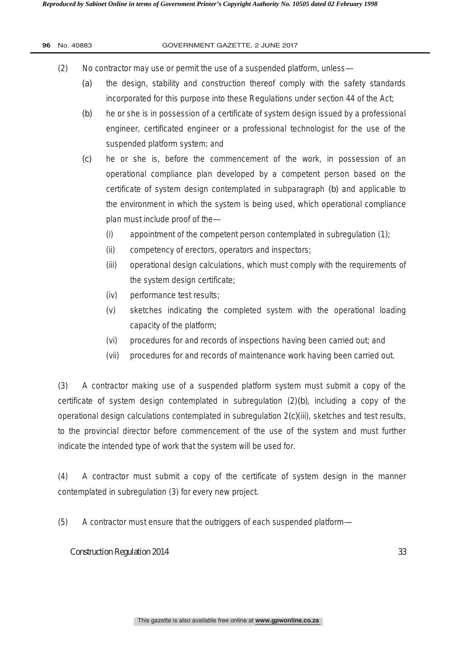| 96 |  | No. 40883 |
|----|--|-----------|
|----|--|-----------|

#### **GOVERNMENT GAZETTE, 2 JUNE 2017**

- (2) No contractor may use or permit the use of a suspended platform, unless—
	- *(a)* the design, stability and construction thereof comply with the safety standards incorporated for this purpose into these Regulations under section 44 of the Act;
	- *(b)* he or she is in possession of a certificate of system design issued by a professional engineer, certificated engineer or a professional technologist for the use of the suspended platform system; and
	- *(c)* he or she is, before the commencement of the work, in possession of an operational compliance plan developed by a competent person based on the certificate of system design contemplated in subparagraph *(b)* and applicable to the environment in which the system is being used, which operational compliance plan must include proof of the—
		- (i) appointment of the competent person contemplated in subregulation (1);
		- (ii) competency of erectors, operators and inspectors;
		- (iii) operational design calculations, which must comply with the requirements of the system design certificate;
		- (iv) performance test results;
		- (v) sketches indicating the completed system with the operational loading capacity of the platform;
		- (vi) procedures for and records of inspections having been carried out; and
		- (vii) procedures for and records of maintenance work having been carried out.

(3) A contractor making use of a suspended platform system must submit a copy of the certificate of system design contemplated in subregulation (2)*(b)*, including a copy of the operational design calculations contemplated in subregulation 2*(c)*(iii), sketches and test results, to the provincial director before commencement of the use of the system and must further indicate the intended type of work that the system will be used for.

(4) A contractor must submit a copy of the certificate of system design in the manner contemplated in subregulation (3) for every new project.

(5) A contractor must ensure that the outriggers of each suspended platform—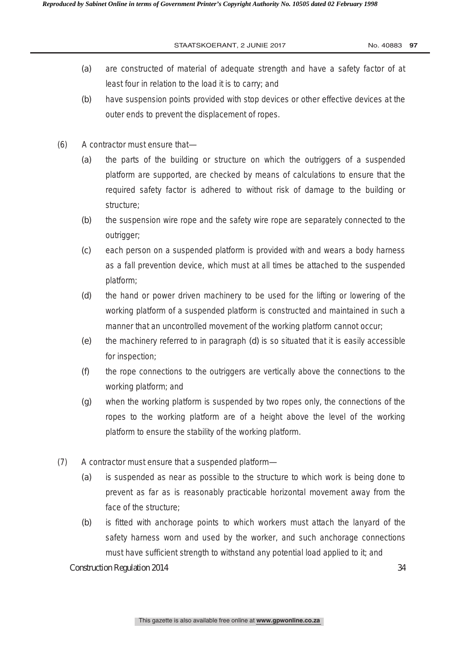- *(a)* are constructed of material of adequate strength and have a safety factor of at least four in relation to the load it is to carry; and
- *(b)* have suspension points provided with stop devices or other effective devices at the outer ends to prevent the displacement of ropes.
- (6) A contractor must ensure that—
	- *(a)* the parts of the building or structure on which the outriggers of a suspended platform are supported, are checked by means of calculations to ensure that the required safety factor is adhered to without risk of damage to the building or structure;
	- *(b)* the suspension wire rope and the safety wire rope are separately connected to the outrigger;
	- *(c)* each person on a suspended platform is provided with and wears a body harness as a fall prevention device, which must at all times be attached to the suspended platform;
	- *(d)* the hand or power driven machinery to be used for the lifting or lowering of the working platform of a suspended platform is constructed and maintained in such a manner that an uncontrolled movement of the working platform cannot occur;
	- *(e)* the machinery referred to in paragraph *(d)* is so situated that it is easily accessible for inspection;
	- *(f)* the rope connections to the outriggers are vertically above the connections to the working platform; and
	- *(g)* when the working platform is suspended by two ropes only, the connections of the ropes to the working platform are of a height above the level of the working platform to ensure the stability of the working platform.
- (7) A contractor must ensure that a suspended platform—
	- *(a)* is suspended as near as possible to the structure to which work is being done to prevent as far as is reasonably practicable horizontal movement away from the face of the structure;
	- *(b)* is fitted with anchorage points to which workers must attach the lanyard of the safety harness worn and used by the worker, and such anchorage connections must have sufficient strength to withstand any potential load applied to it; and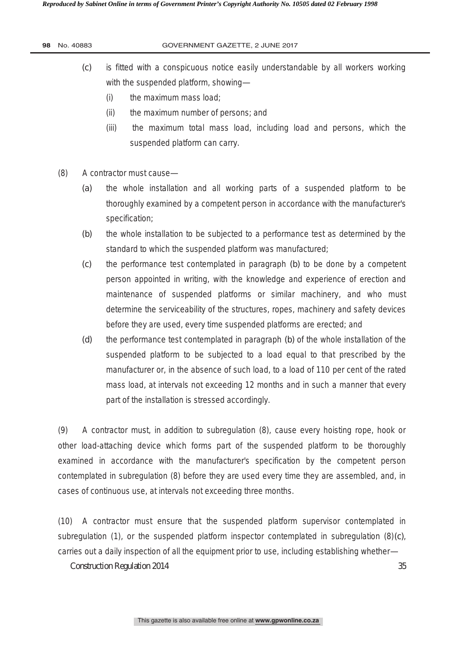- *(c)* is fitted with a conspicuous notice easily understandable by all workers working with the suspended platform, showing—
	- (i) the maximum mass load;
	- (ii) the maximum number of persons; and
	- (iii) the maximum total mass load, including load and persons, which the suspended platform can carry.
- (8) A contractor must cause—
	- *(a)* the whole installation and all working parts of a suspended platform to be thoroughly examined by a competent person in accordance with the manufacturer's specification;
	- *(b)* the whole installation to be subjected to a performance test as determined by the standard to which the suspended platform was manufactured;
	- *(c)* the performance test contemplated in paragraph *(b)* to be done by a competent person appointed in writing, with the knowledge and experience of erection and maintenance of suspended platforms or similar machinery, and who must determine the serviceability of the structures, ropes, machinery and safety devices before they are used, every time suspended platforms are erected; and
	- *(d)* the performance test contemplated in paragraph *(b)* of the whole installation of the suspended platform to be subjected to a load equal to that prescribed by the manufacturer or, in the absence of such load, to a load of 110 per cent of the rated mass load, at intervals not exceeding 12 months and in such a manner that every part of the installation is stressed accordingly.

(9) A contractor must, in addition to subregulation (8), cause every hoisting rope, hook or other load-attaching device which forms part of the suspended platform to be thoroughly examined in accordance with the manufacturer's specification by the competent person contemplated in subregulation (8) before they are used every time they are assembled, and, in cases of continuous use, at intervals not exceeding three months.

(10) A contractor must ensure that the suspended platform supervisor contemplated in subregulation (1), or the suspended platform inspector contemplated in subregulation (8)*(c)*, carries out a daily inspection of all the equipment prior to use, including establishing whether—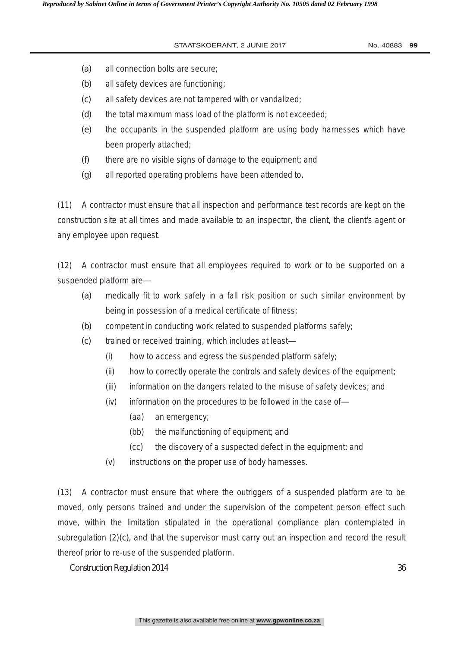- *(a)* all connection bolts are secure;
- *(b)* all safety devices are functioning;
- *(c)* all safety devices are not tampered with or vandalized;
- *(d)* the total maximum mass load of the platform is not exceeded;
- *(e)* the occupants in the suspended platform are using body harnesses which have been properly attached;
- *(f)* there are no visible signs of damage to the equipment; and
- *(g)* all reported operating problems have been attended to.

(11) A contractor must ensure that all inspection and performance test records are kept on the construction site at all times and made available to an inspector, the client, the client's agent or any employee upon request.

(12) A contractor must ensure that all employees required to work or to be supported on a suspended platform are—

- *(a)* medically fit to work safely in a fall risk position or such similar environment by being in possession of a medical certificate of fitness;
- *(b)* competent in conducting work related to suspended platforms safely;
- *(c)* trained or received training, which includes at least—
	- (i) how to access and egress the suspended platform safely;
	- (ii) how to correctly operate the controls and safety devices of the equipment;
	- (iii) information on the dangers related to the misuse of safety devices; and
	- (iv) information on the procedures to be followed in the case of—
		- (aa) an emergency;
		- (bb) the malfunctioning of equipment; and
		- (cc) the discovery of a suspected defect in the equipment; and
	- (v) instructions on the proper use of body harnesses.

(13) A contractor must ensure that where the outriggers of a suspended platform are to be moved, only persons trained and under the supervision of the competent person effect such move, within the limitation stipulated in the operational compliance plan contemplated in subregulation (2)*(c),* and that the supervisor must carry out an inspection and record the result thereof prior to re-use of the suspended platform.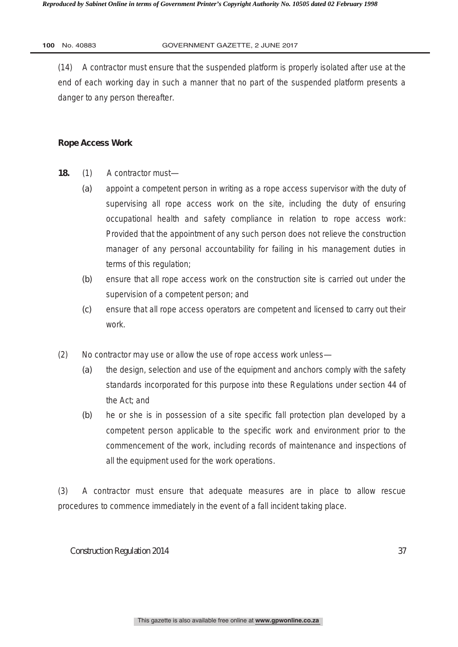(14) A contractor must ensure that the suspended platform is properly isolated after use at the end of each working day in such a manner that no part of the suspended platform presents a danger to any person thereafter.

# **Rope Access Work**

- **18.** (1) A contractor must—
	- *(a)* appoint a competent person in writing as a rope access supervisor with the duty of supervising all rope access work on the site, including the duty of ensuring occupational health and safety compliance in relation to rope access work: Provided that the appointment of any such person does not relieve the construction manager of any personal accountability for failing in his management duties in terms of this regulation;
	- *(b)* ensure that all rope access work on the construction site is carried out under the supervision of a competent person; and
	- *(c)* ensure that all rope access operators are competent and licensed to carry out their work.
- (2) No contractor may use or allow the use of rope access work unless—
	- *(a)* the design, selection and use of the equipment and anchors comply with the safety standards incorporated for this purpose into these Regulations under section 44 of the Act; and
	- *(b)* he or she is in possession of a site specific fall protection plan developed by a competent person applicable to the specific work and environment prior to the commencement of the work, including records of maintenance and inspections of all the equipment used for the work operations.

(3) A contractor must ensure that adequate measures are in place to allow rescue procedures to commence immediately in the event of a fall incident taking place.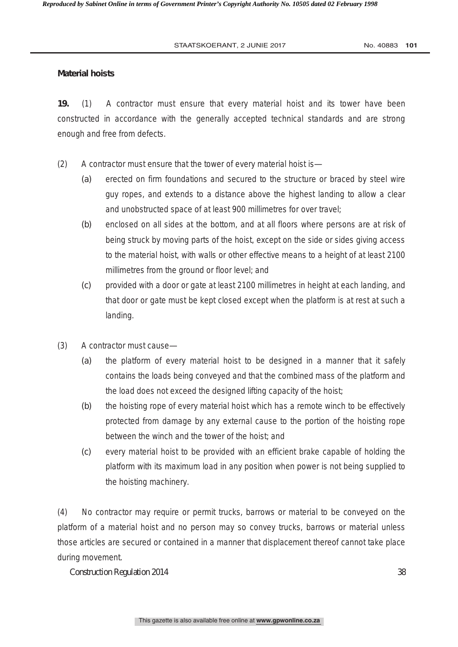# **Material hoists**

**19.** (1) A contractor must ensure that every material hoist and its tower have been constructed in accordance with the generally accepted technical standards and are strong enough and free from defects.

- (2) A contractor must ensure that the tower of every material hoist is—
	- *(a)* erected on firm foundations and secured to the structure or braced by steel wire guy ropes, and extends to a distance above the highest landing to allow a clear and unobstructed space of at least 900 millimetres for over travel;
	- *(b)* enclosed on all sides at the bottom, and at all floors where persons are at risk of being struck by moving parts of the hoist, except on the side or sides giving access to the material hoist, with walls or other effective means to a height of at least 2100 millimetres from the ground or floor level; and
	- *(c)* provided with a door or gate at least 2100 millimetres in height at each landing, and that door or gate must be kept closed except when the platform is at rest at such a landing.
- (3) A contractor must cause—
	- *(a)* the platform of every material hoist to be designed in a manner that it safely contains the loads being conveyed and that the combined mass of the platform and the load does not exceed the designed lifting capacity of the hoist;
	- *(b)* the hoisting rope of every material hoist which has a remote winch to be effectively protected from damage by any external cause to the portion of the hoisting rope between the winch and the tower of the hoist; and
	- *(c)* every material hoist to be provided with an efficient brake capable of holding the platform with its maximum load in any position when power is not being supplied to the hoisting machinery.

(4) No contractor may require or permit trucks, barrows or material to be conveyed on the platform of a material hoist and no person may so convey trucks, barrows or material unless those articles are secured or contained in a manner that displacement thereof cannot take place during movement.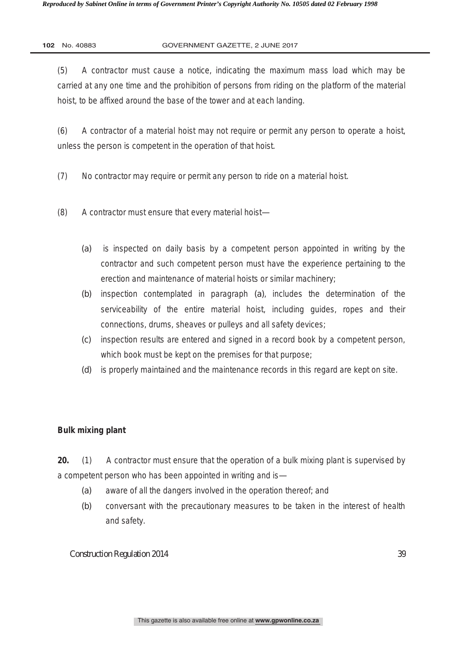(5) A contractor must cause a notice, indicating the maximum mass load which may be carried at any one time and the prohibition of persons from riding on the platform of the material hoist, to be affixed around the base of the tower and at each landing.

(6) A contractor of a material hoist may not require or permit any person to operate a hoist, unless the person is competent in the operation of that hoist.

- (7) No contractor may require or permit any person to ride on a material hoist.
- (8) A contractor must ensure that every material hoist—
	- *(a)* is inspected on daily basis by a competent person appointed in writing by the contractor and such competent person must have the experience pertaining to the erection and maintenance of material hoists or similar machinery;
	- *(b)* inspection contemplated in paragraph *(a)*, includes the determination of the serviceability of the entire material hoist, including guides, ropes and their connections, drums, sheaves or pulleys and all safety devices;
	- *(c)* inspection results are entered and signed in a record book by a competent person, which book must be kept on the premises for that purpose;
	- *(d)* is properly maintained and the maintenance records in this regard are kept on site.

# **Bulk mixing plant**

**20.** (1) A contractor must ensure that the operation of a bulk mixing plant is supervised by a competent person who has been appointed in writing and is—

- *(a)* aware of all the dangers involved in the operation thereof; and
- *(b)* conversant with the precautionary measures to be taken in the interest of health and safety.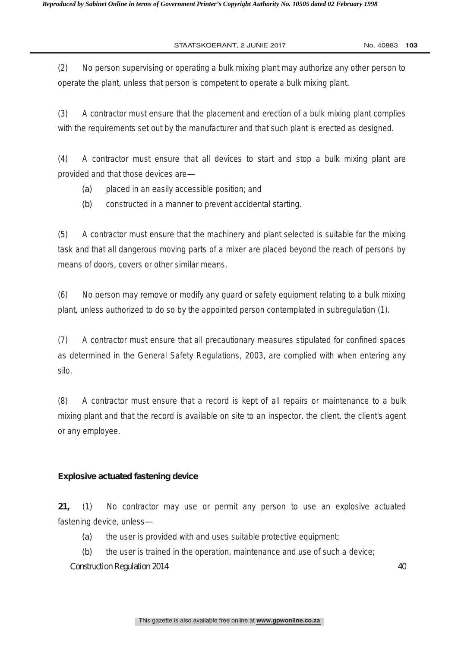(2) No person supervising or operating a bulk mixing plant may authorize any other person to operate the plant, unless that person is competent to operate a bulk mixing plant.

(3) A contractor must ensure that the placement and erection of a bulk mixing plant complies with the requirements set out by the manufacturer and that such plant is erected as designed.

(4) A contractor must ensure that all devices to start and stop a bulk mixing plant are provided and that those devices are—

- *(a)* placed in an easily accessible position; and
- *(b)* constructed in a manner to prevent accidental starting.

(5) A contractor must ensure that the machinery and plant selected is suitable for the mixing task and that all dangerous moving parts of a mixer are placed beyond the reach of persons by means of doors, covers or other similar means.

(6) No person may remove or modify any guard or safety equipment relating to a bulk mixing plant, unless authorized to do so by the appointed person contemplated in subregulation (1).

(7) A contractor must ensure that all precautionary measures stipulated for confined spaces as determined in the General Safety Regulations, 2003, are complied with when entering any silo.

(8) A contractor must ensure that a record is kept of all repairs or maintenance to a bulk mixing plant and that the record is available on site to an inspector, the client, the client's agent or any employee.

# **Explosive actuated fastening device**

**21,** (1) No contractor may use or permit any person to use an explosive actuated fastening device, unless—

- *(a)* the user is provided with and uses suitable protective equipment;
- *(b)* the user is trained in the operation, maintenance and use of such a device;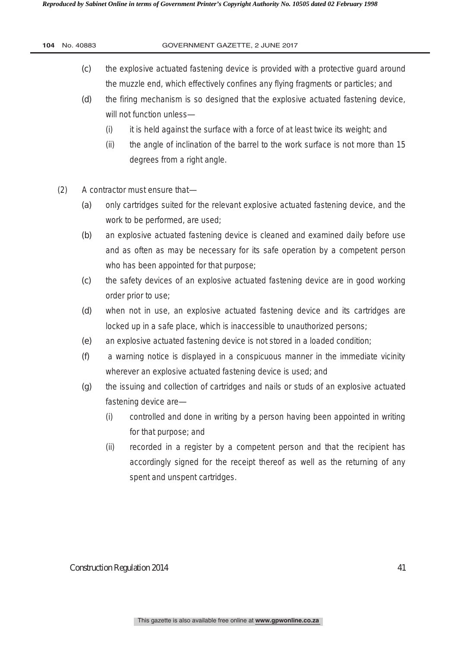| 104 | No. 40883  | GOVERNMENT GAZETTE, 2 JUNE 2017                                                                                                                                                                                                                                                                                                                                                   |
|-----|------------|-----------------------------------------------------------------------------------------------------------------------------------------------------------------------------------------------------------------------------------------------------------------------------------------------------------------------------------------------------------------------------------|
|     | (c)<br>(d) | the explosive actuated fastening device is provided with a protective guard around<br>the muzzle end, which effectively confines any flying fragments or particles; and<br>the firing mechanism is so designed that the explosive actuated fastening device,<br>will not function unless-<br>it is held against the surface with a force of at least twice its weight; and<br>(i) |
|     |            | the angle of inclination of the barrel to the work surface is not more than 15<br>(ii)<br>degrees from a right angle.                                                                                                                                                                                                                                                             |
|     | (2)        | A contractor must ensure that-                                                                                                                                                                                                                                                                                                                                                    |
|     | (a)        | only cartridges suited for the relevant explosive actuated fastening device, and the<br>work to be performed, are used;                                                                                                                                                                                                                                                           |
|     | (b)        | an explosive actuated fastening device is cleaned and examined daily before use<br>and as often as may be necessary for its safe operation by a competent person<br>who has been appointed for that purpose;                                                                                                                                                                      |
|     | (c)        | the safety devices of an explosive actuated fastening device are in good working<br>order prior to use;                                                                                                                                                                                                                                                                           |
|     | (d)        | when not in use, an explosive actuated fastening device and its cartridges are<br>locked up in a safe place, which is inaccessible to unauthorized persons;                                                                                                                                                                                                                       |
|     | (e)        | an explosive actuated fastening device is not stored in a loaded condition;                                                                                                                                                                                                                                                                                                       |
|     | (f)        | a warning notice is displayed in a conspicuous manner in the immediate vicinity<br>wherever an explosive actuated fastening device is used; and                                                                                                                                                                                                                                   |
|     | (g)        | the issuing and collection of cartridges and nails or studs of an explosive actuated<br>fastening device are-                                                                                                                                                                                                                                                                     |
|     |            | controlled and done in writing by a person having been appointed in writing<br>(i)<br>for that purpose; and                                                                                                                                                                                                                                                                       |
|     |            | recorded in a register by a competent person and that the recipient has<br>(ii)<br>accordingly signed for the receipt thereof as well as the returning of any<br>spent and unspent cartridges.                                                                                                                                                                                    |
|     |            |                                                                                                                                                                                                                                                                                                                                                                                   |
|     |            | <b>Construction Regulation 2014</b><br>41                                                                                                                                                                                                                                                                                                                                         |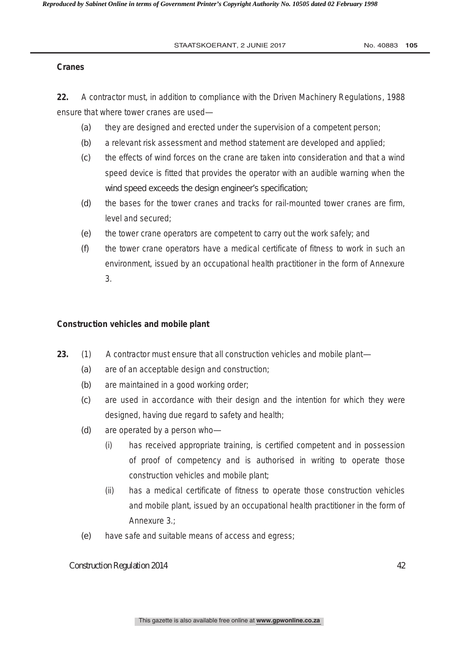# **Cranes**

**22.** A contractor must, in addition to compliance with the Driven Machinery Regulations, 1988 ensure that where tower cranes are used—

- *(a)* they are designed and erected under the supervision of a competent person;
- *(b)* a relevant risk assessment and method statement are developed and applied;
- *(c)* the effects of wind forces on the crane are taken into consideration and that a wind speed device is fitted that provides the operator with an audible warning when the wind speed exceeds the design engineer's specification;
- *(d)* the bases for the tower cranes and tracks for rail-mounted tower cranes are firm, level and secured;
- *(e)* the tower crane operators are competent to carry out the work safely; and
- *(f)* the tower crane operators have a medical certificate of fitness to work in such an environment, issued by an occupational health practitioner in the form of Annexure 3.

# **Construction vehicles and mobile plant**

- **23.** (1) A contractor must ensure that all construction vehicles and mobile plant—
	- *(a)* are of an acceptable design and construction;
	- *(b)* are maintained in a good working order;
	- *(c)* are used in accordance with their design and the intention for which they were designed, having due regard to safety and health;
	- *(d)* are operated by a person who—
		- (i) has received appropriate training, is certified competent and in possession of proof of competency and is authorised in writing to operate those construction vehicles and mobile plant;
		- (ii) has a medical certificate of fitness to operate those construction vehicles and mobile plant, issued by an occupational health practitioner in the form of Annexure 3.;
	- *(e)* have safe and suitable means of access and egress;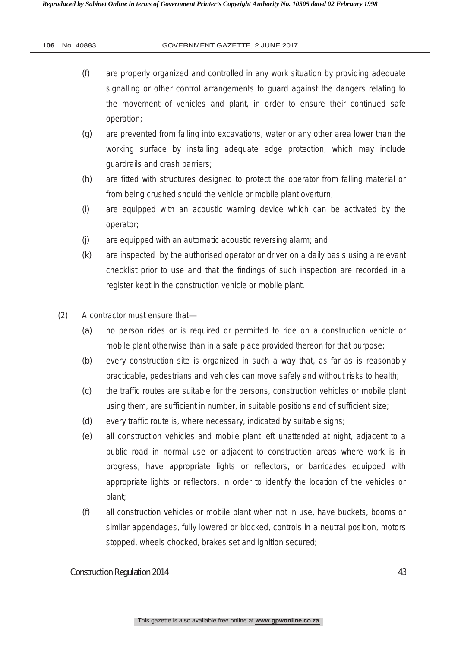| 106 |  | No. 40883 |
|-----|--|-----------|
|-----|--|-----------|

- *(f)* are properly organized and controlled in any work situation by providing adequate signalling or other control arrangements to guard against the dangers relating to the movement of vehicles and plant, in order to ensure their continued safe operation;
- *(g)* are prevented from falling into excavations, water or any other area lower than the working surface by installing adequate edge protection, which may include guardrails and crash barriers;
- *(h)* are fitted with structures designed to protect the operator from falling material or from being crushed should the vehicle or mobile plant overturn;
- *(i)* are equipped with an acoustic warning device which can be activated by the operator;
- *(j)* are equipped with an automatic acoustic reversing alarm; and
- *(k)* are inspected by the authorised operator or driver on a daily basis using a relevant checklist prior to use and that the findings of such inspection are recorded in a register kept in the construction vehicle or mobile plant.
- (2) A contractor must ensure that—
	- *(a)* no person rides or is required or permitted to ride on a construction vehicle or mobile plant otherwise than in a safe place provided thereon for that purpose;
	- *(b)* every construction site is organized in such a way that, as far as is reasonably practicable, pedestrians and vehicles can move safely and without risks to health;
	- *(c)* the traffic routes are suitable for the persons, construction vehicles or mobile plant using them, are sufficient in number, in suitable positions and of sufficient size;
	- *(d)* every traffic route is, where necessary, indicated by suitable signs;
	- *(e)* all construction vehicles and mobile plant left unattended at night, adjacent to a public road in normal use or adjacent to construction areas where work is in progress, have appropriate lights or reflectors, or barricades equipped with appropriate lights or reflectors, in order to identify the location of the vehicles or plant;
	- *(f)* all construction vehicles or mobile plant when not in use, have buckets, booms or similar appendages, fully lowered or blocked, controls in a neutral position, motors stopped, wheels chocked, brakes set and ignition secured;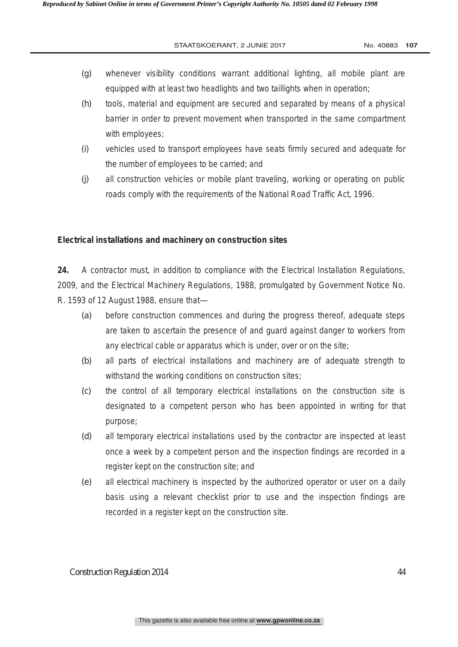- *(g)* whenever visibility conditions warrant additional lighting, all mobile plant are equipped with at least two headlights and two taillights when in operation;
- *(h)* tools, material and equipment are secured and separated by means of a physical barrier in order to prevent movement when transported in the same compartment with employees;
- *(i)* vehicles used to transport employees have seats firmly secured and adequate for the number of employees to be carried; and
- *(j)* all construction vehicles or mobile plant traveling, working or operating on public roads comply with the requirements of the National Road Traffic Act, 1996.

# **Electrical installations and machinery on construction sites**

**24.** A contractor must, in addition to compliance with the Electrical Installation Regulations, 2009, and the Electrical Machinery Regulations, 1988, promulgated by Government Notice No. R. 1593 of 12 August 1988, ensure that—

- *(a)* before construction commences and during the progress thereof, adequate steps are taken to ascertain the presence of and guard against danger to workers from any electrical cable or apparatus which is under, over or on the site;
- *(b)* all parts of electrical installations and machinery are of adequate strength to withstand the working conditions on construction sites;
- *(c)* the control of all temporary electrical installations on the construction site is designated to a competent person who has been appointed in writing for that purpose;
- *(d)* all temporary electrical installations used by the contractor are inspected at least once a week by a competent person and the inspection findings are recorded in a register kept on the construction site; and
- *(e)* all electrical machinery is inspected by the authorized operator or user on a daily basis using a relevant checklist prior to use and the inspection findings are recorded in a register kept on the construction site.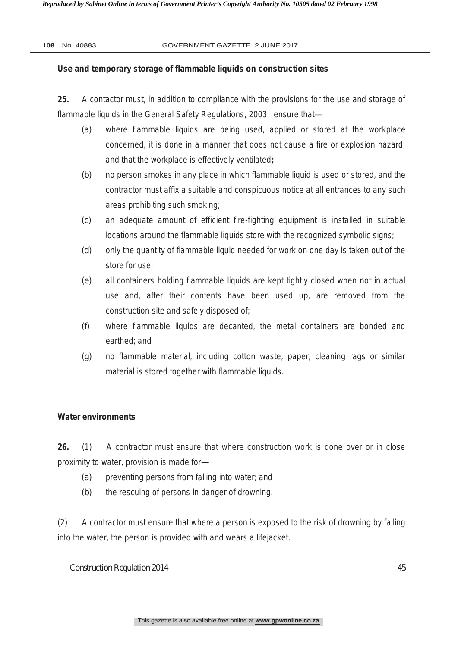# **Use and temporary storage of flammable liquids on construction sites**

**25.** A contactor must, in addition to compliance with the provisions for the use and storage of flammable liquids in the General Safety Regulations, 2003, ensure that—

- *(a)* where flammable liquids are being used, applied or stored at the workplace concerned, it is done in a manner that does not cause a fire or explosion hazard, and that the workplace is effectively ventilated**;**
- *(b)* no person smokes in any place in which flammable liquid is used or stored, and the contractor must affix a suitable and conspicuous notice at all entrances to any such areas prohibiting such smoking;
- *(c)* an adequate amount of efficient fire-fighting equipment is installed in suitable locations around the flammable liquids store with the recognized symbolic signs;
- *(d)* only the quantity of flammable liquid needed for work on one day is taken out of the store for use;
- *(e)* all containers holding flammable liquids are kept tightly closed when not in actual use and, after their contents have been used up, are removed from the construction site and safely disposed of;
- *(f)* where flammable liquids are decanted, the metal containers are bonded and earthed; and
- *(g)* no flammable material, including cotton waste, paper, cleaning rags or similar material is stored together with flammable liquids.

# **Water environments**

**26.** (1) A contractor must ensure that where construction work is done over or in close proximity to water, provision is made for—

- *(a)* preventing persons from falling into water; and
- *(b)* the rescuing of persons in danger of drowning.

(2) A contractor must ensure that where a person is exposed to the risk of drowning by falling into the water, the person is provided with and wears a lifejacket.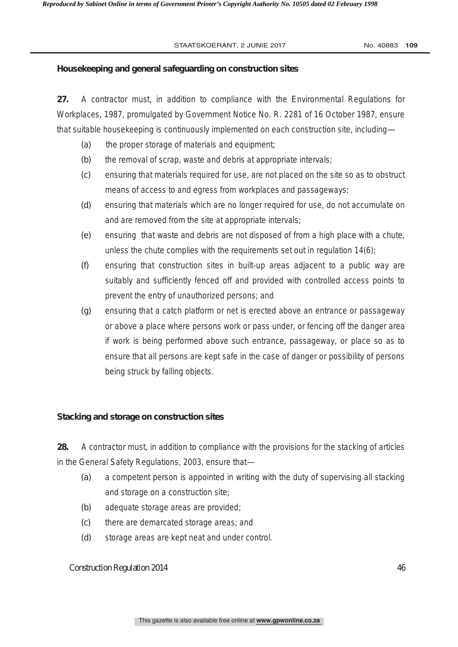# **Housekeeping and general safeguarding on construction sites**

**27.** A contractor must, in addition to compliance with the Environmental Regulations for Workplaces, 1987, promulgated by Government Notice No. R. 2281 of 16 October 1987, ensure that suitable housekeeping is continuously implemented on each construction site, including—

- *(a)* the proper storage of materials and equipment;
- *(b)* the removal of scrap, waste and debris at appropriate intervals;
- *(c)* ensuring that materials required for use, are not placed on the site so as to obstruct means of access to and egress from workplaces and passageways;
- *(d)* ensuring that materials which are no longer required for use, do not accumulate on and are removed from the site at appropriate intervals;
- *(e)* ensuring that waste and debris are not disposed of from a high place with a chute, unless the chute complies with the requirements set out in regulation 14(6);
- *(f)* ensuring that construction sites in built-up areas adjacent to a public way are suitably and sufficiently fenced off and provided with controlled access points to prevent the entry of unauthorized persons; and
- *(g)* ensuring that a catch platform or net is erected above an entrance or passageway or above a place where persons work or pass under, or fencing off the danger area if work is being performed above such entrance, passageway, or place so as to ensure that all persons are kept safe in the case of danger or possibility of persons being struck by falling objects.

# **Stacking and storage on construction sites**

**28.** A contractor must, in addition to compliance with the provisions for the stacking of articles in the General Safety Regulations, 2003, ensure that—

- *(a)* a competent person is appointed in writing with the duty of supervising all stacking and storage on a construction site;
- *(b)* adequate storage areas are provided;
- *(c)* there are demarcated storage areas; and
- *(d)* storage areas are kept neat and under control.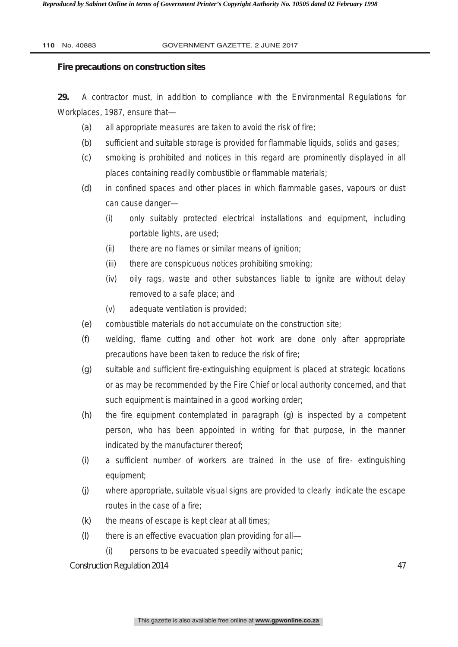#### **Fire precautions on construction sites**

**29.** A contractor must, in addition to compliance with the Environmental Regulations for Workplaces, 1987, ensure that—

- *(a)* all appropriate measures are taken to avoid the risk of fire;
- *(b)* sufficient and suitable storage is provided for flammable liquids, solids and gases;
- *(c)* smoking is prohibited and notices in this regard are prominently displayed in all places containing readily combustible or flammable materials;
- *(d)* in confined spaces and other places in which flammable gases, vapours or dust can cause danger—
	- (i) only suitably protected electrical installations and equipment, including portable lights, are used;
	- (ii) there are no flames or similar means of ignition;
	- (iii) there are conspicuous notices prohibiting smoking;
	- (iv) oily rags, waste and other substances liable to ignite are without delay removed to a safe place; and
	- (v) adequate ventilation is provided;
- *(e)* combustible materials do not accumulate on the construction site;
- *(f)* welding, flame cutting and other hot work are done only after appropriate precautions have been taken to reduce the risk of fire;
- *(g)* suitable and sufficient fire-extinguishing equipment is placed at strategic locations or as may be recommended by the Fire Chief or local authority concerned, and that such equipment is maintained in a good working order;
- *(h)* the fire equipment contemplated in paragraph *(g)* is inspected by a competent person, who has been appointed in writing for that purpose, in the manner indicated by the manufacturer thereof;
- *(i)* a sufficient number of workers are trained in the use of fire- extinguishing equipment;
- *(j)* where appropriate, suitable visual signs are provided to clearly indicate the escape routes in the case of a fire;
- *(k)* the means of escape is kept clear at all times;
- *(l)* there is an effective evacuation plan providing for all—
	- (i) persons to be evacuated speedily without panic;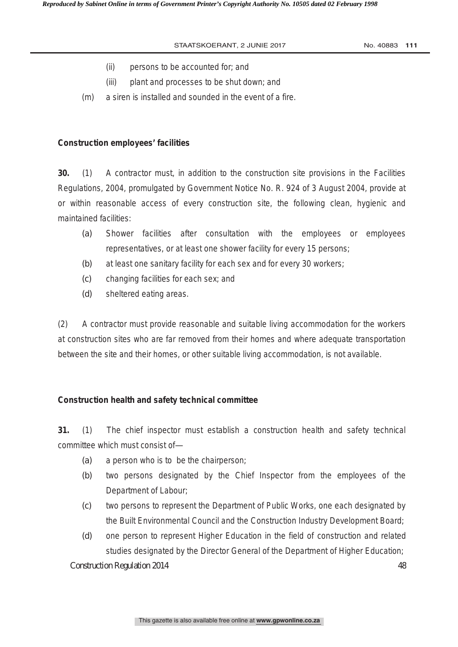- (ii) persons to be accounted for; and
- (iii) plant and processes to be shut down; and
- (m) a siren is installed and sounded in the event of a fire.

# **Construction employees' facilities**

**30.** (1) A contractor must, in addition to the construction site provisions in the Facilities Regulations, 2004, promulgated by Government Notice No. R. 924 of 3 August 2004, provide at or within reasonable access of every construction site, the following clean, hygienic and maintained facilities:

- *(a)* Shower facilities after consultation with the employees or employees representatives, or at least one shower facility for every 15 persons;
- *(b)* at least one sanitary facility for each sex and for every 30 workers;
- *(c)* changing facilities for each sex; and
- *(d)* sheltered eating areas.

(2) A contractor must provide reasonable and suitable living accommodation for the workers at construction sites who are far removed from their homes and where adequate transportation between the site and their homes, or other suitable living accommodation, is not available.

# **Construction health and safety technical committee**

**31.** (1) The chief inspector must establish a construction health and safety technical committee which must consist of—

- *(a)* a person who is to be the chairperson;
- *(b)* two persons designated by the Chief Inspector from the employees of the Department of Labour;
- *(c)* two persons to represent the Department of Public Works, one each designated by the Built Environmental Council and the Construction Industry Development Board;
- Construction Regulation 2014 48 *(d)* one person to represent Higher Education in the field of construction and related studies designated by the Director General of the Department of Higher Education;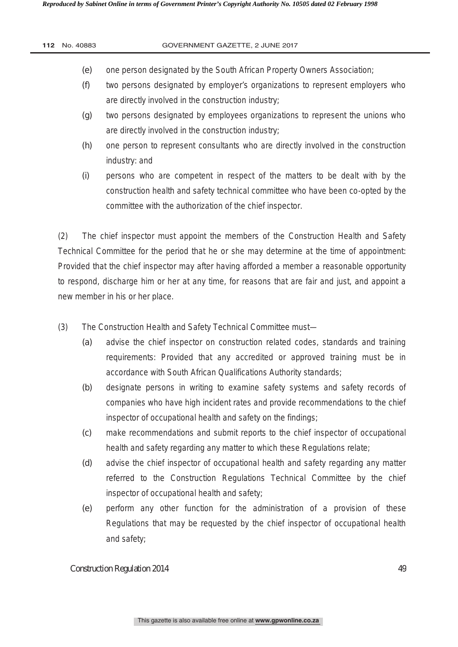*Reproduced by Sabinet Online in terms of Government Printer's Copyright Authority No. 10505 dated 02 February 1998* 

| 112 | No. 40883 | GOVERNMENT GAZETTE, 2 JUNE 2017                                                   |
|-----|-----------|-----------------------------------------------------------------------------------|
|     |           |                                                                                   |
|     | (e)       | one person designated by the South African Property Owners Association;           |
|     | (f)       | two persons designated by employer's organizations to represent employers who     |
|     |           | are directly involved in the construction industry;                               |
|     | (g)       | two persons designated by employees organizations to represent the unions who     |
|     |           | are directly involved in the construction industry;                               |
|     | (h)       | one person to represent consultants who are directly involved in the construction |
|     |           | industry: and                                                                     |
|     | (i)       | persons who are competent in respect of the matters to be dealt with by the       |
|     |           | construction health and safety technical committee who have been co-opted by the  |

committee with the authorization of the chief inspector.

(2) The chief inspector must appoint the members of the Construction Health and Safety Technical Committee for the period that he or she may determine at the time of appointment: Provided that the chief inspector may after having afforded a member a reasonable opportunity to respond, discharge him or her at any time, for reasons that are fair and just, and appoint a new member in his or her place.

(3) The Construction Health and Safety Technical Committee must—

- *(a)* advise the chief inspector on construction related codes, standards and training requirements: Provided that any accredited or approved training must be in accordance with South African Qualifications Authority standards;
- *(b)* designate persons in writing to examine safety systems and safety records of companies who have high incident rates and provide recommendations to the chief inspector of occupational health and safety on the findings;
- *(c)* make recommendations and submit reports to the chief inspector of occupational health and safety regarding any matter to which these Regulations relate;
- *(d)* advise the chief inspector of occupational health and safety regarding any matter referred to the Construction Regulations Technical Committee by the chief inspector of occupational health and safety;
- *(e)* perform any other function for the administration of a provision of these Regulations that may be requested by the chief inspector of occupational health and safety;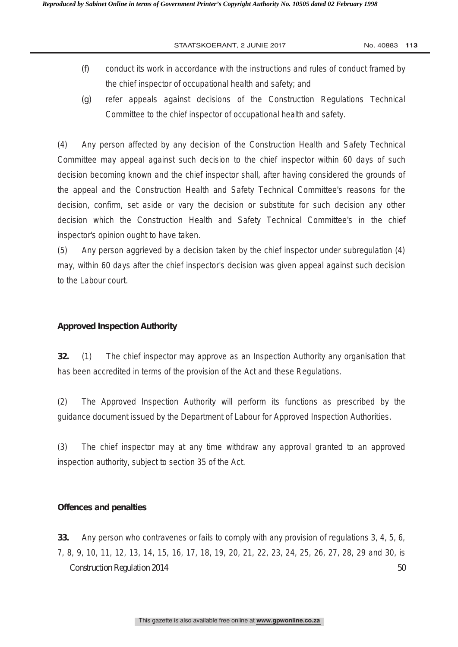- *(f)* conduct its work in accordance with the instructions and rules of conduct framed by the chief inspector of occupational health and safety; and
- *(g)* refer appeals against decisions of the Construction Regulations Technical Committee to the chief inspector of occupational health and safety.

(4) Any person affected by any decision of the Construction Health and Safety Technical Committee may appeal against such decision to the chief inspector within 60 days of such decision becoming known and the chief inspector shall, after having considered the grounds of the appeal and the Construction Health and Safety Technical Committee's reasons for the decision, confirm, set aside or vary the decision or substitute for such decision any other decision which the Construction Health and Safety Technical Committee's in the chief inspector's opinion ought to have taken.

(5) Any person aggrieved by a decision taken by the chief inspector under subregulation (4) may, within 60 days after the chief inspector's decision was given appeal against such decision to the Labour court.

# **Approved Inspection Authority**

**32.** (1) The chief inspector may approve as an Inspection Authority any organisation that has been accredited in terms of the provision of the Act and these Regulations.

(2) The Approved Inspection Authority will perform its functions as prescribed by the guidance document issued by the Department of Labour for Approved Inspection Authorities.

(3) The chief inspector may at any time withdraw any approval granted to an approved inspection authority, subject to section 35 of the Act.

# **Offences and penalties**

Construction Regulation 2014 50 **33.** Any person who contravenes or fails to comply with any provision of regulations 3, 4, 5, 6, 7, 8, 9, 10, 11, 12, 13, 14, 15, 16, 17, 18, 19, 20, 21, 22, 23, 24, 25, 26, 27, 28, 29 and 30, is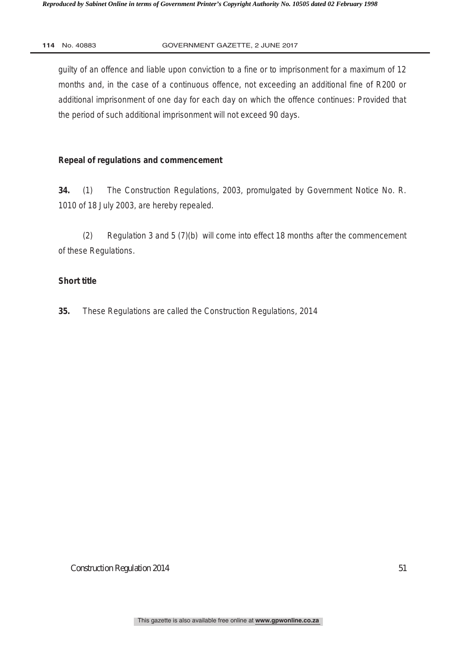guilty of an offence and liable upon conviction to a fine or to imprisonment for a maximum of 12 months and, in the case of a continuous offence, not exceeding an additional fine of R200 or additional imprisonment of one day for each day on which the offence continues: Provided that the period of such additional imprisonment will not exceed 90 days.

# **Repeal of regulations and commencement**

**34.** (1) The Construction Regulations, 2003, promulgated by Government Notice No. R. 1010 of 18 July 2003, are hereby repealed.

(2) Regulation 3 and 5 (7)(b) will come into effect 18 months after the commencement of these Regulations.

# **Short title**

**35.** These Regulations are called the Construction Regulations, 2014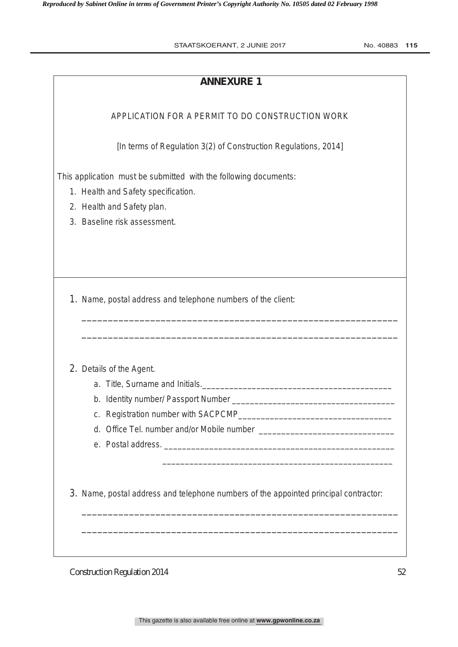| <b>ANNEXURE 1</b>                                                                                                                     |
|---------------------------------------------------------------------------------------------------------------------------------------|
| APPLICATION FOR A PERMIT TO DO CONSTRUCTION WORK                                                                                      |
| [In terms of Regulation 3(2) of Construction Regulations, 2014]                                                                       |
| This application must be submitted with the following documents:<br>1. Health and Safety specification.<br>2. Health and Safety plan. |
| 3. Baseline risk assessment.                                                                                                          |
|                                                                                                                                       |
| 1. Name, postal address and telephone numbers of the client:                                                                          |
|                                                                                                                                       |
| 2. Details of the Agent.                                                                                                              |
|                                                                                                                                       |
|                                                                                                                                       |
|                                                                                                                                       |
|                                                                                                                                       |
|                                                                                                                                       |
| 3. Name, postal address and telephone numbers of the appointed principal contractor:                                                  |
|                                                                                                                                       |
|                                                                                                                                       |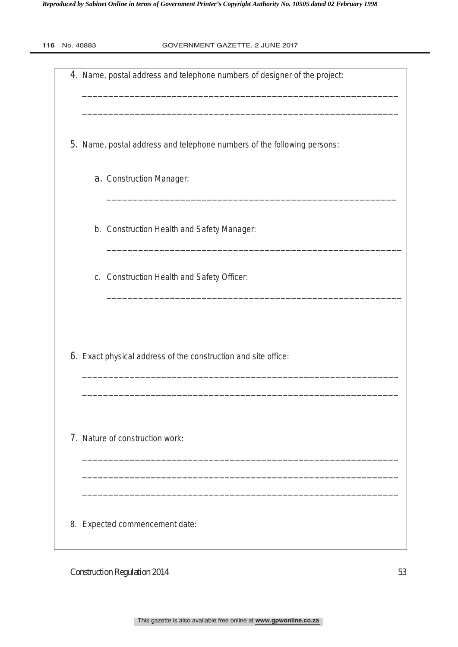| 116 | No. 40883 | GOVERNMENT GAZETTE, 2 JUNE 2017                                           |
|-----|-----------|---------------------------------------------------------------------------|
|     |           | 4. Name, postal address and telephone numbers of designer of the project: |
|     |           | 5. Name, postal address and telephone numbers of the following persons:   |
|     |           | a. Construction Manager:                                                  |
|     |           | b. Construction Health and Safety Manager:                                |
|     |           | c. Construction Health and Safety Officer:                                |
|     |           |                                                                           |
|     |           | 6. Exact physical address of the construction and site office:            |
|     |           | 7. Nature of construction work:                                           |
|     |           | 8. Expected commencement date:                                            |

This gazette is also available free online at **www.gpwonline.co.za**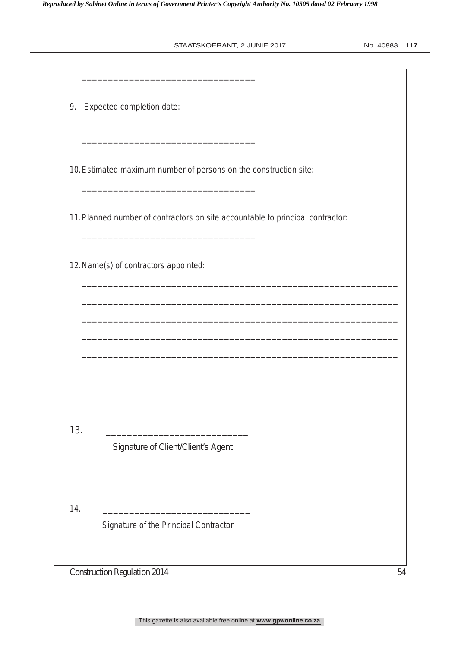| No. 40883 | 117 |  |
|-----------|-----|--|
|-----------|-----|--|

|            | 9. Expected completion date:                                                   |
|------------|--------------------------------------------------------------------------------|
|            | 10. Estimated maximum number of persons on the construction site:              |
|            | 11. Planned number of contractors on site accountable to principal contractor: |
|            | 12. Name(s) of contractors appointed:                                          |
|            |                                                                                |
|            |                                                                                |
|            |                                                                                |
|            |                                                                                |
|            | Signature of Client/Client's Agent                                             |
| 13.<br>14. |                                                                                |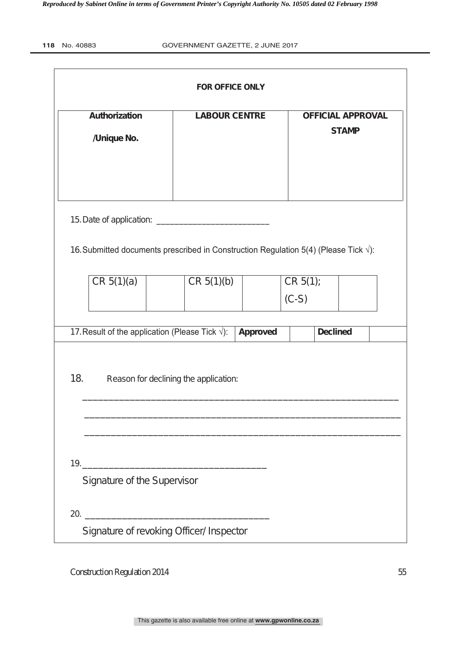| 118<br>No. 40883 |
|------------------|
|                  |

| <b>FOR OFFICE ONLY</b>              |                             |  |                                                                                               |                 |                     |                                          |  |  |  |
|-------------------------------------|-----------------------------|--|-----------------------------------------------------------------------------------------------|-----------------|---------------------|------------------------------------------|--|--|--|
| <b>Authorization</b><br>/Unique No. |                             |  | <b>LABOUR CENTRE</b>                                                                          |                 |                     | <b>OFFICIAL APPROVAL</b><br><b>STAMP</b> |  |  |  |
|                                     |                             |  | 16. Submitted documents prescribed in Construction Regulation 5(4) (Please Tick $\sqrt{ }$ ): |                 |                     |                                          |  |  |  |
|                                     | CR 5(1)(a)                  |  | CR 5(1)(b)                                                                                    |                 | CR 5(1);<br>$(C-S)$ |                                          |  |  |  |
|                                     |                             |  | 17. Result of the application (Please Tick $\sqrt{ }$ ):                                      | <b>Approved</b> |                     | <b>Declined</b>                          |  |  |  |
| 18.                                 |                             |  | Reason for declining the application:                                                         |                 |                     |                                          |  |  |  |
|                                     | Signature of the Supervisor |  |                                                                                               |                 |                     |                                          |  |  |  |
|                                     |                             |  | 20.<br>Signature of revoking Officer/ Inspector                                               |                 |                     |                                          |  |  |  |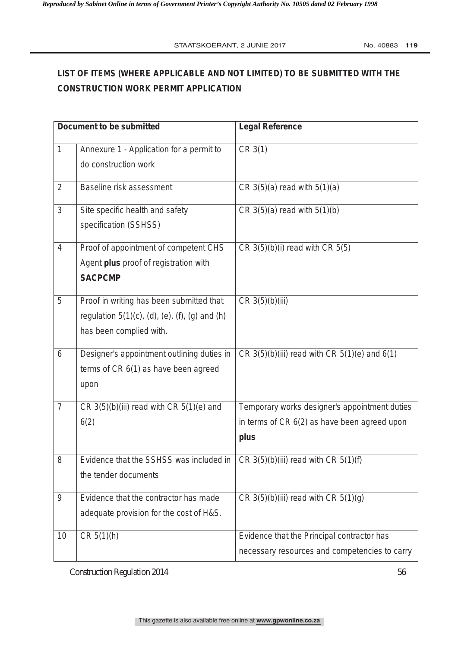# **LIST OF ITEMS (WHERE APPLICABLE AND NOT LIMITED) TO BE SUBMITTED WITH THE CONSTRUCTION WORK PERMIT APPLICATION**

|                  | <b>Document to be submitted</b>                                                                                          | <b>Legal Reference</b>                                                                                |
|------------------|--------------------------------------------------------------------------------------------------------------------------|-------------------------------------------------------------------------------------------------------|
| $\mathbf{1}$     | Annexure 1 - Application for a permit to<br>do construction work                                                         | CR 3(1)                                                                                               |
| $\overline{2}$   | <b>Baseline risk assessment</b>                                                                                          | CR $3(5)(a)$ read with $5(1)(a)$                                                                      |
| 3                | Site specific health and safety<br>specification (SSHSS)                                                                 | CR $3(5)(a)$ read with $5(1)(b)$                                                                      |
| $\overline{4}$   | Proof of appointment of competent CHS<br>Agent plus proof of registration with<br><b>SACPCMP</b>                         | $CR 3(5)(b)(i)$ read with $CR 5(5)$                                                                   |
| 5                | Proof in writing has been submitted that<br>regulation $5(1)(c)$ , (d), (e), (f), (g) and (h)<br>has been complied with. | CR 3(5)(b)(iii)                                                                                       |
| 6                | Designer's appointment outlining duties in<br>terms of CR 6(1) as have been agreed<br>upon                               | $CR 3(5)(b)(iii)$ read with $CR 5(1)(e)$ and $6(1)$                                                   |
| $\overline{7}$   | CR $3(5)(b)(iii)$ read with CR $5(1)(e)$ and<br>6(2)                                                                     | Temporary works designer's appointment duties<br>in terms of CR 6(2) as have been agreed upon<br>plus |
| 8                | Evidence that the SSHSS was included in<br>the tender documents                                                          | CR $3(5)(b)(iii)$ read with CR $5(1)(f)$                                                              |
| $\boldsymbol{9}$ | Evidence that the contractor has made<br>adequate provision for the cost of H&S.                                         | CR $3(5)(b)(iii)$ read with CR $5(1)(g)$                                                              |
| 10               | CR 5(1)(h)                                                                                                               | Evidence that the Principal contractor has<br>necessary resources and competencies to carry           |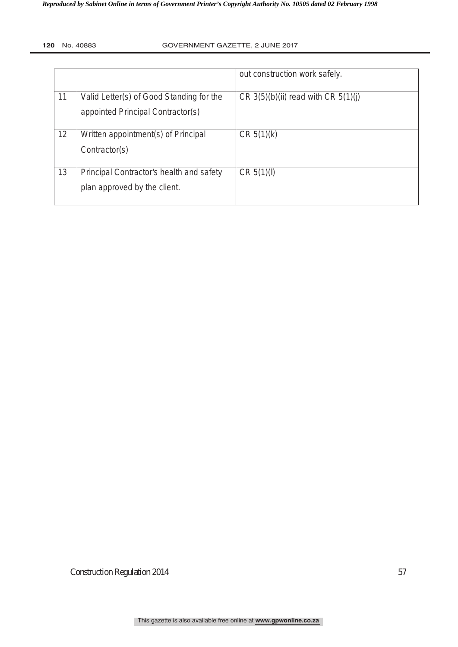|    |                                          | out construction work safely.           |
|----|------------------------------------------|-----------------------------------------|
|    |                                          |                                         |
| 11 | Valid Letter(s) of Good Standing for the | CR $3(5)(b)(ii)$ read with CR $5(1)(j)$ |
|    | appointed Principal Contractor(s)        |                                         |
|    |                                          |                                         |
| 12 | Written appointment(s) of Principal      | CR 5(1)(k)                              |
|    | Contractor(s)                            |                                         |
|    |                                          |                                         |
| 13 | Principal Contractor's health and safety | CR $5(1)($                              |
|    | plan approved by the client.             |                                         |
|    |                                          |                                         |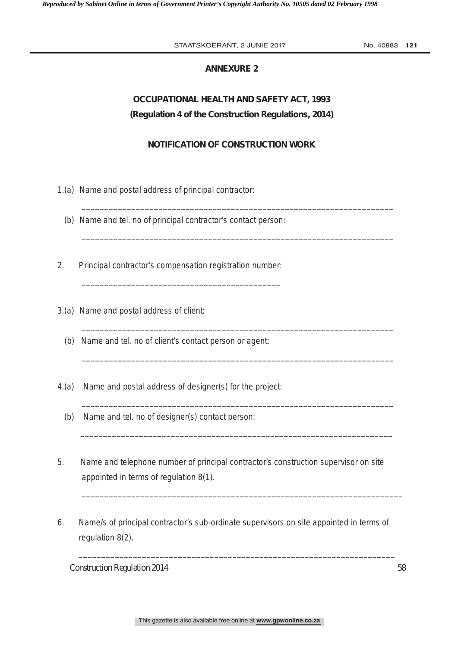# **ANNEXURE 2**

# **OCCUPATIONAL HEALTH AND SAFETY ACT, 1993 (Regulation 4 of the Construction Regulations, 2014)**

# **NOTIFICATION OF CONSTRUCTION WORK**

\_\_\_\_\_\_\_\_\_\_\_\_\_\_\_\_\_\_\_\_\_\_\_\_\_\_\_\_\_\_\_\_\_\_\_\_\_\_\_\_\_\_\_\_\_\_\_\_\_\_\_\_\_\_\_\_\_\_\_\_\_\_\_\_\_\_\_\_\_

\_\_\_\_\_\_\_\_\_\_\_\_\_\_\_\_\_\_\_\_\_\_\_\_\_\_\_\_\_\_\_\_\_\_\_\_\_\_\_\_\_\_\_\_\_\_\_\_\_\_\_\_\_\_\_\_\_\_\_\_\_\_\_\_\_\_\_\_\_

\_\_\_\_\_\_\_\_\_\_\_\_\_\_\_\_\_\_\_\_\_\_\_\_\_\_\_\_\_\_\_\_\_\_\_\_\_\_\_\_\_\_\_\_\_\_\_\_\_\_\_\_\_\_\_\_\_\_\_\_\_\_\_\_\_\_\_\_\_

\_\_\_\_\_\_\_\_\_\_\_\_\_\_\_\_\_\_\_\_\_\_\_\_\_\_\_\_\_\_\_\_\_\_\_\_\_\_\_\_\_\_\_\_\_\_\_\_\_\_\_\_\_\_\_\_\_\_\_\_\_\_\_\_\_\_\_\_\_

 $\_$  , and the set of the set of the set of the set of the set of the set of the set of the set of the set of the set of the set of the set of the set of the set of the set of the set of the set of the set of the set of th

 $\_$  , and the set of the set of the set of the set of the set of the set of the set of the set of the set of the set of the set of the set of the set of the set of the set of the set of the set of the set of the set of th

 $\bar{a}$  , and the contribution of the contribution of the contribution of the contribution of the contribution of the contribution of the contribution of the contribution of the contribution of the contribution of the con

- 1.(a) Name and postal address of principal contractor:
	- (b) Name and tel. no of principal contractor's contact person:
- 2. Principal contractor's compensation registration number:

\_\_\_\_\_\_\_\_\_\_\_\_\_\_\_\_\_\_\_\_\_\_\_\_\_\_\_\_\_\_\_\_\_\_\_\_\_\_\_\_\_\_\_\_

- 3.(a) Name and postal address of client:
	- (b) Name and tel. no of client's contact person or agent:
- 4.(a) Name and postal address of designer(s) for the project:
	- (b) Name and tel. no of designer(s) contact person:
- 5. Name and telephone number of principal contractor's construction supervisor on site appointed in terms of regulation 8(1).
- 6. Name/s of principal contractor's sub-ordinate supervisors on site appointed in terms of regulation 8(2).

 $\Box$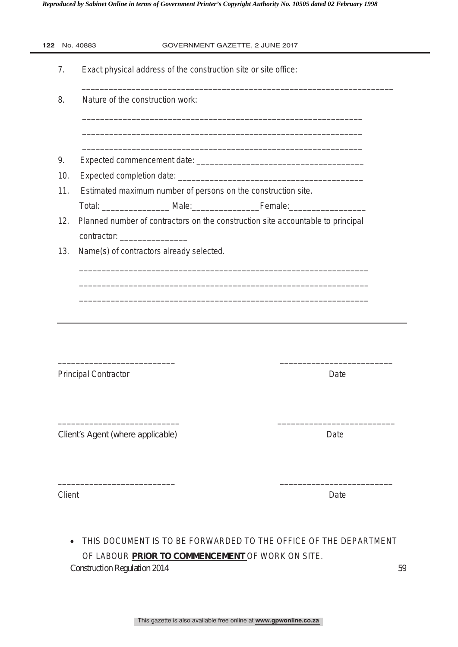*Reproduced by Sabinet Online in terms of Government Printer's Copyright Authority No. 10505 dated 02 February 1998* 

| 7.  |                                          | Exact physical address of the construction site or site office:                 |
|-----|------------------------------------------|---------------------------------------------------------------------------------|
| 8.  | Nature of the construction work:         |                                                                                 |
|     |                                          |                                                                                 |
| 9.  |                                          |                                                                                 |
| 10. |                                          |                                                                                 |
| 11. |                                          | Estimated maximum number of persons on the construction site.                   |
|     |                                          |                                                                                 |
| 12. |                                          | Planned number of contractors on the construction site accountable to principal |
|     | contractor: ________________             |                                                                                 |
|     | Name(s) of contractors already selected. |                                                                                 |
| 13. |                                          |                                                                                 |
|     | <b>Principal Contractor</b>              | Date                                                                            |
|     | Client's Agent (where applicable)        | Date                                                                            |

Construction Regulation 2014 59 THIS DOCUMENT IS TO BE FORWARDED TO THE OFFICE OF THE DEPARTMENT OF LABOUR **PRIOR TO COMMENCEMENT** OF WORK ON SITE.